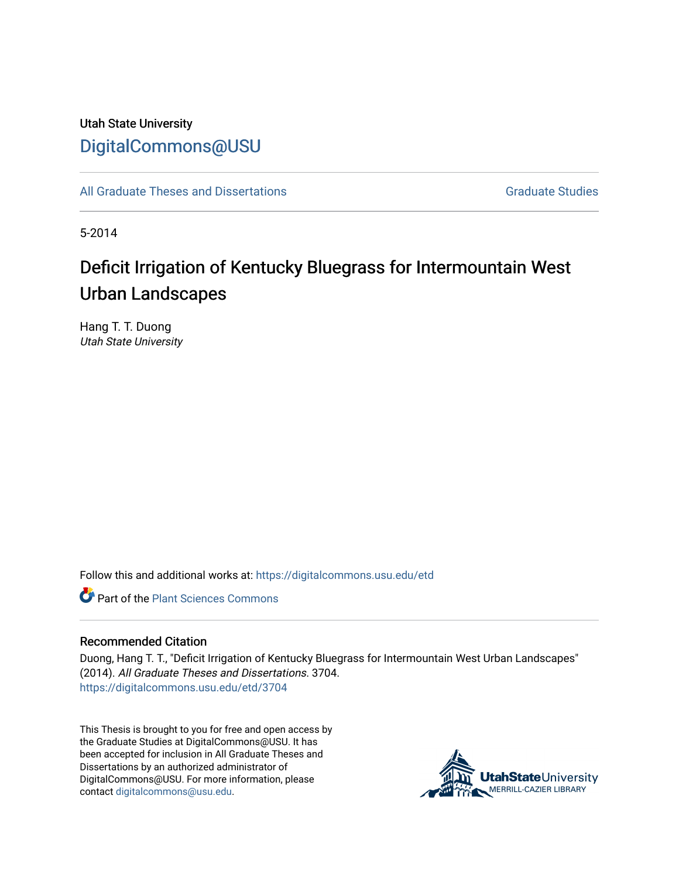# Utah State University [DigitalCommons@USU](https://digitalcommons.usu.edu/)

[All Graduate Theses and Dissertations](https://digitalcommons.usu.edu/etd) [Graduate Studies](https://digitalcommons.usu.edu/gradstudies) Graduate Studies

5-2014

# Deficit Irrigation of Kentucky Bluegrass for Intermountain West Urban Landscapes

Hang T. T. Duong Utah State University

Follow this and additional works at: [https://digitalcommons.usu.edu/etd](https://digitalcommons.usu.edu/etd?utm_source=digitalcommons.usu.edu%2Fetd%2F3704&utm_medium=PDF&utm_campaign=PDFCoverPages) 

**C** Part of the [Plant Sciences Commons](http://network.bepress.com/hgg/discipline/102?utm_source=digitalcommons.usu.edu%2Fetd%2F3704&utm_medium=PDF&utm_campaign=PDFCoverPages)

### Recommended Citation

Duong, Hang T. T., "Deficit Irrigation of Kentucky Bluegrass for Intermountain West Urban Landscapes" (2014). All Graduate Theses and Dissertations. 3704. [https://digitalcommons.usu.edu/etd/3704](https://digitalcommons.usu.edu/etd/3704?utm_source=digitalcommons.usu.edu%2Fetd%2F3704&utm_medium=PDF&utm_campaign=PDFCoverPages)

This Thesis is brought to you for free and open access by the Graduate Studies at DigitalCommons@USU. It has been accepted for inclusion in All Graduate Theses and Dissertations by an authorized administrator of DigitalCommons@USU. For more information, please contact [digitalcommons@usu.edu](mailto:digitalcommons@usu.edu).

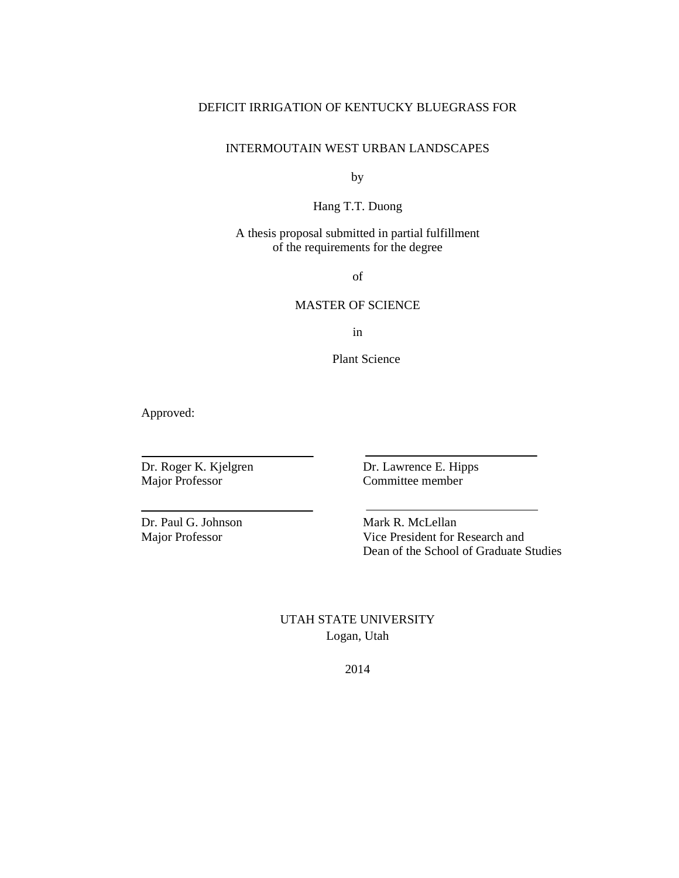# DEFICIT IRRIGATION OF KENTUCKY BLUEGRASS FOR

# INTERMOUTAIN WEST URBAN LANDSCAPES

by

Hang T.T. Duong

A thesis proposal submitted in partial fulfillment of the requirements for the degree

of

# MASTER OF SCIENCE

in

Plant Science

Approved:

Major Professor Committee member

Dr. Roger K. Kjelgren Dr. Lawrence E. Hipps

Dr. Paul G. Johnson Mark R. McLellan

Major Professor Vice President for Research and Dean of the School of Graduate Studies

> UTAH STATE UNIVERSITY Logan, Utah

> > 2014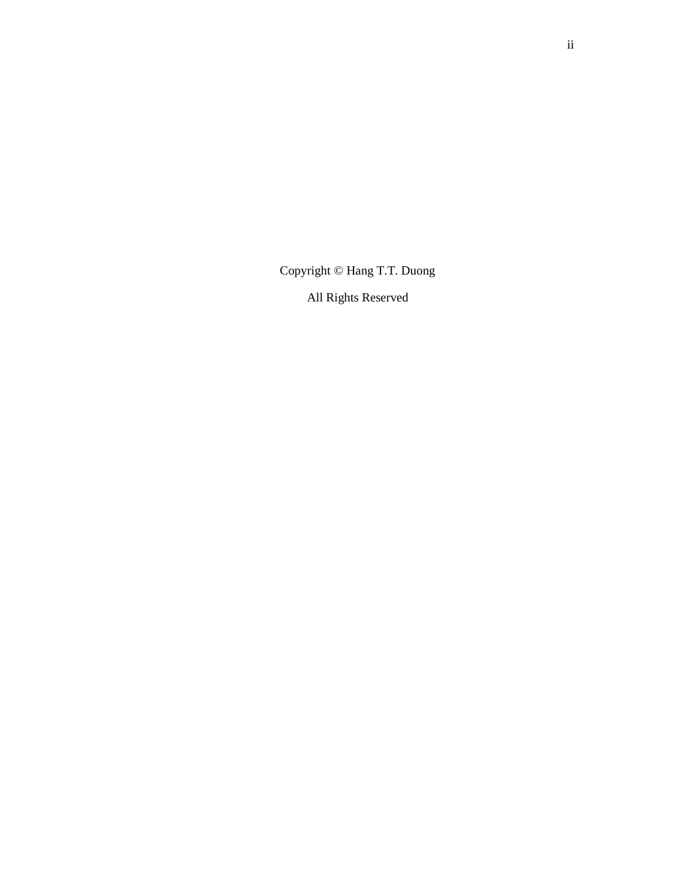Copyright © Hang T.T. Duong

All Rights Reserved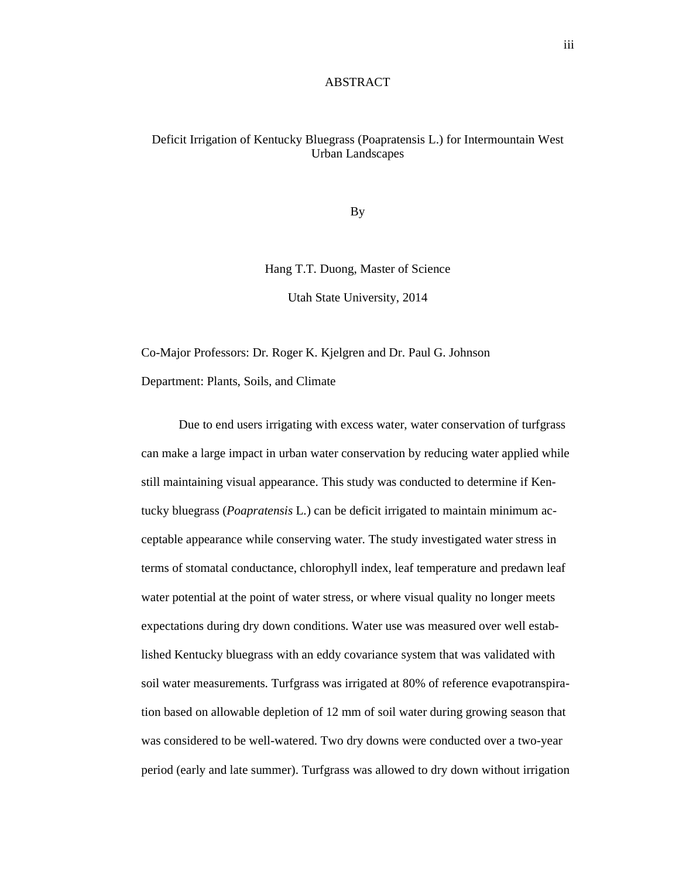#### ABSTRACT

## Deficit Irrigation of Kentucky Bluegrass (Poapratensis L.) for Intermountain West Urban Landscapes

By

Hang T.T. Duong, Master of Science

Utah State University, 2014

Co-Major Professors: Dr. Roger K. Kjelgren and Dr. Paul G. Johnson Department: Plants, Soils, and Climate

Due to end users irrigating with excess water, water conservation of turfgrass can make a large impact in urban water conservation by reducing water applied while still maintaining visual appearance. This study was conducted to determine if Kentucky bluegrass (*Poapratensis* L.) can be deficit irrigated to maintain minimum acceptable appearance while conserving water. The study investigated water stress in terms of stomatal conductance, chlorophyll index, leaf temperature and predawn leaf water potential at the point of water stress, or where visual quality no longer meets expectations during dry down conditions. Water use was measured over well established Kentucky bluegrass with an eddy covariance system that was validated with soil water measurements. Turfgrass was irrigated at 80% of reference evapotranspiration based on allowable depletion of 12 mm of soil water during growing season that was considered to be well-watered. Two dry downs were conducted over a two-year period (early and late summer). Turfgrass was allowed to dry down without irrigation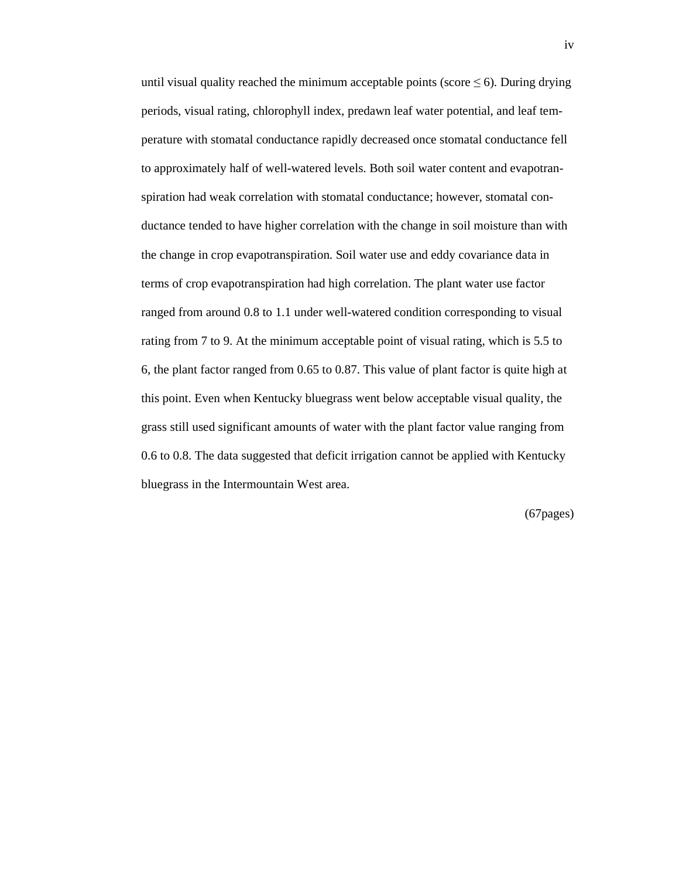until visual quality reached the minimum acceptable points (score  $\leq 6$ ). During drying periods, visual rating, chlorophyll index, predawn leaf water potential, and leaf temperature with stomatal conductance rapidly decreased once stomatal conductance fell to approximately half of well-watered levels. Both soil water content and evapotranspiration had weak correlation with stomatal conductance; however, stomatal conductance tended to have higher correlation with the change in soil moisture than with the change in crop evapotranspiration. Soil water use and eddy covariance data in terms of crop evapotranspiration had high correlation. The plant water use factor ranged from around 0.8 to 1.1 under well-watered condition corresponding to visual rating from 7 to 9. At the minimum acceptable point of visual rating, which is 5.5 to 6, the plant factor ranged from 0.65 to 0.87. This value of plant factor is quite high at this point. Even when Kentucky bluegrass went below acceptable visual quality, the grass still used significant amounts of water with the plant factor value ranging from 0.6 to 0.8. The data suggested that deficit irrigation cannot be applied with Kentucky bluegrass in the Intermountain West area.

(67pages)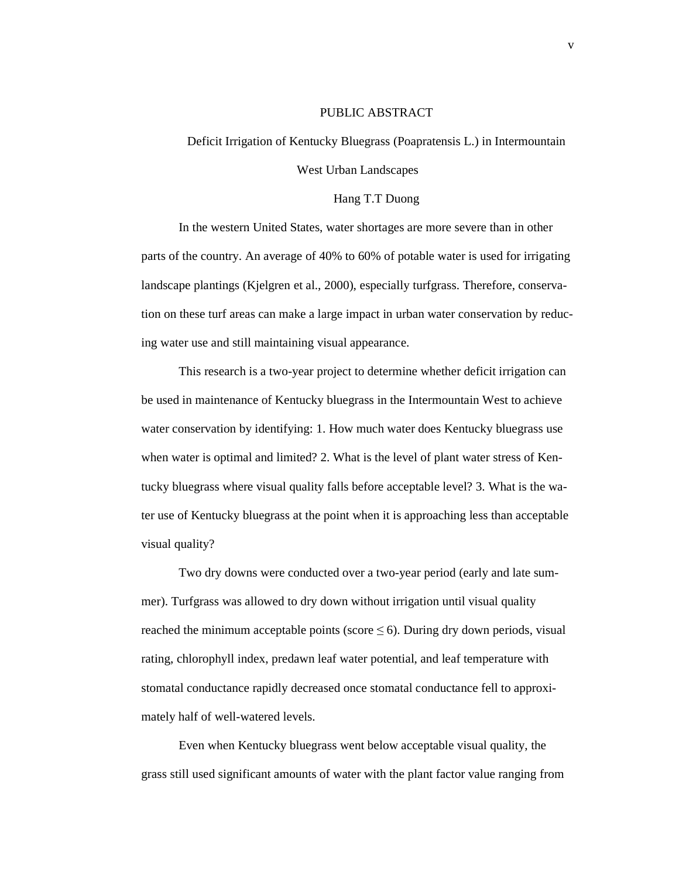#### PUBLIC ABSTRACT

# Deficit Irrigation of Kentucky Bluegrass (Poapratensis L.) in Intermountain West Urban Landscapes

#### Hang T.T Duong

In the western United States, water shortages are more severe than in other parts of the country. An average of 40% to 60% of potable water is used for irrigating landscape plantings (Kjelgren et al., 2000), especially turfgrass. Therefore, conservation on these turf areas can make a large impact in urban water conservation by reducing water use and still maintaining visual appearance.

This research is a two-year project to determine whether deficit irrigation can be used in maintenance of Kentucky bluegrass in the Intermountain West to achieve water conservation by identifying: 1. How much water does Kentucky bluegrass use when water is optimal and limited? 2. What is the level of plant water stress of Kentucky bluegrass where visual quality falls before acceptable level? 3. What is the water use of Kentucky bluegrass at the point when it is approaching less than acceptable visual quality?

Two dry downs were conducted over a two-year period (early and late summer). Turfgrass was allowed to dry down without irrigation until visual quality reached the minimum acceptable points (score  $\leq 6$ ). During dry down periods, visual rating, chlorophyll index, predawn leaf water potential, and leaf temperature with stomatal conductance rapidly decreased once stomatal conductance fell to approximately half of well-watered levels.

Even when Kentucky bluegrass went below acceptable visual quality, the grass still used significant amounts of water with the plant factor value ranging from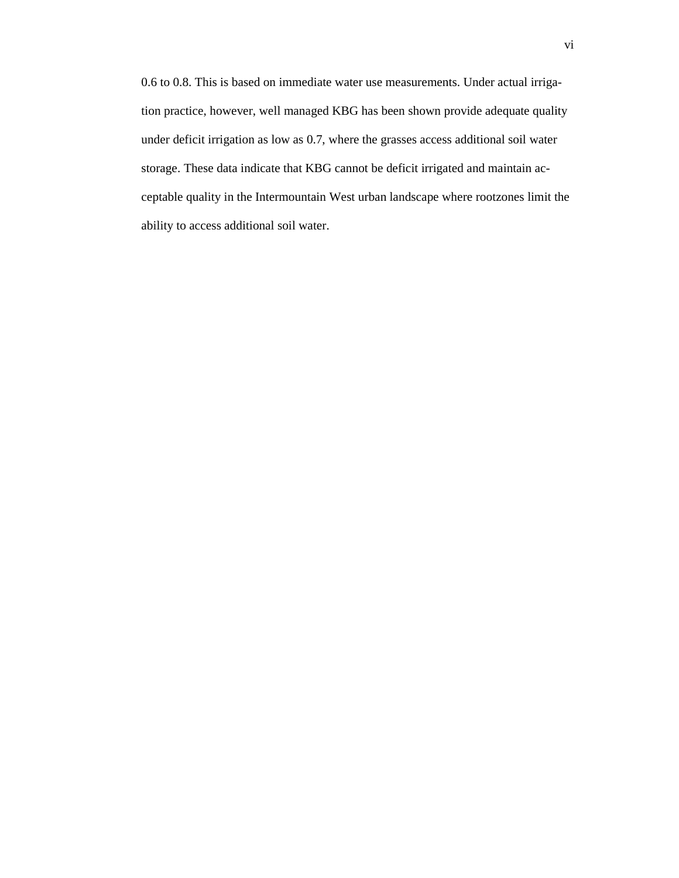0.6 to 0.8. This is based on immediate water use measurements. Under actual irrigation practice, however, well managed KBG has been shown provide adequate quality under deficit irrigation as low as 0.7, where the grasses access additional soil water storage. These data indicate that KBG cannot be deficit irrigated and maintain acceptable quality in the Intermountain West urban landscape where rootzones limit the ability to access additional soil water.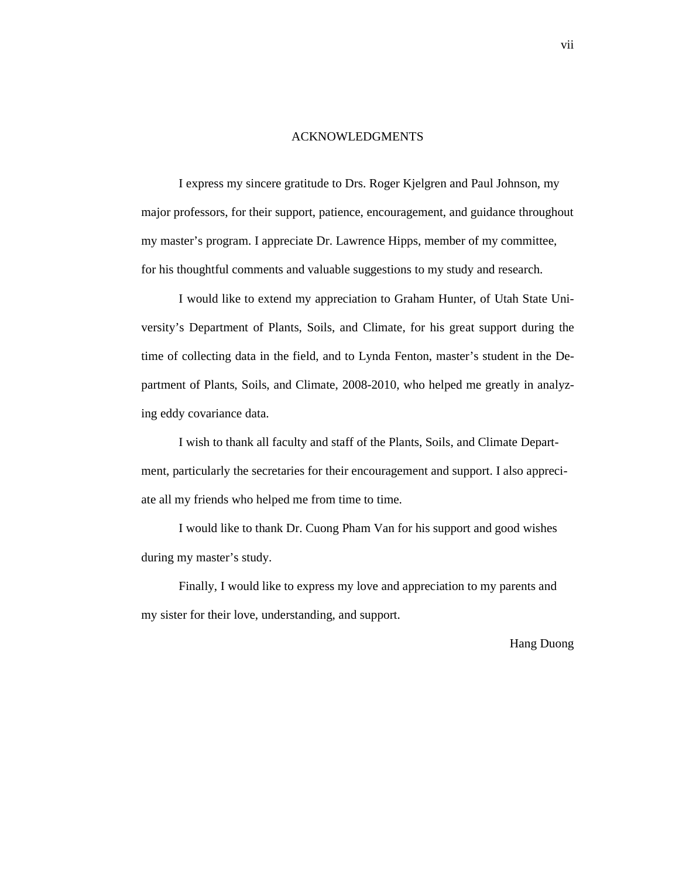#### ACKNOWLEDGMENTS

I express my sincere gratitude to Drs. Roger Kjelgren and Paul Johnson, my major professors, for their support, patience, encouragement, and guidance throughout my master's program. I appreciate Dr. Lawrence Hipps, member of my committee, for his thoughtful comments and valuable suggestions to my study and research.

I would like to extend my appreciation to Graham Hunter, of Utah State University's Department of Plants, Soils, and Climate, for his great support during the time of collecting data in the field, and to Lynda Fenton, master's student in the Department of Plants, Soils, and Climate, 2008-2010, who helped me greatly in analyzing eddy covariance data.

I wish to thank all faculty and staff of the Plants, Soils, and Climate Department, particularly the secretaries for their encouragement and support. I also appreciate all my friends who helped me from time to time.

I would like to thank Dr. Cuong Pham Van for his support and good wishes during my master's study.

Finally, I would like to express my love and appreciation to my parents and my sister for their love, understanding, and support.

Hang Duong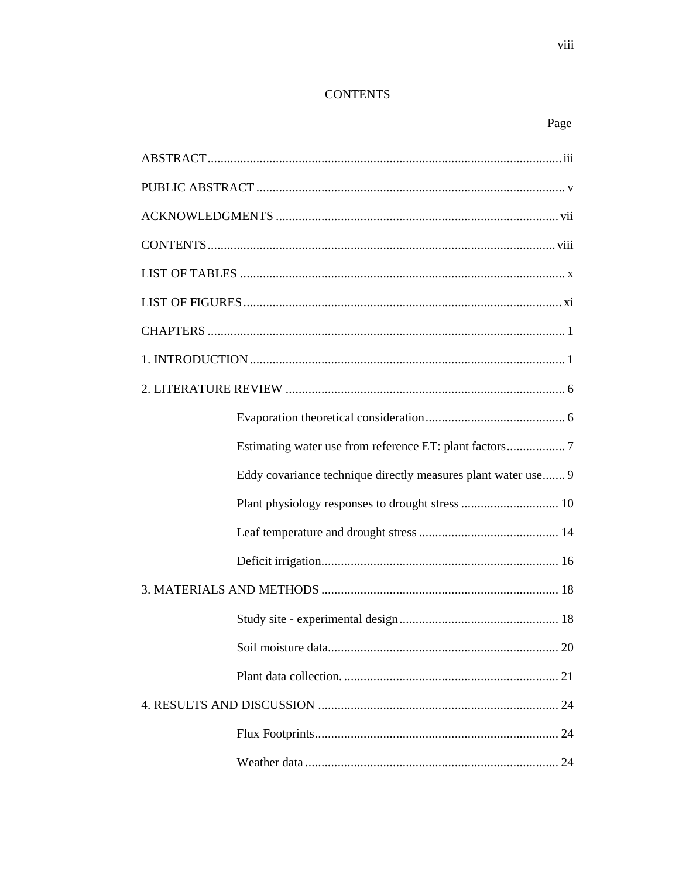# **CONTENTS**

# Page

| Eddy covariance technique directly measures plant water use 9 |  |  |  |  |
|---------------------------------------------------------------|--|--|--|--|
|                                                               |  |  |  |  |
|                                                               |  |  |  |  |
|                                                               |  |  |  |  |
|                                                               |  |  |  |  |
|                                                               |  |  |  |  |
|                                                               |  |  |  |  |
|                                                               |  |  |  |  |
|                                                               |  |  |  |  |
|                                                               |  |  |  |  |
|                                                               |  |  |  |  |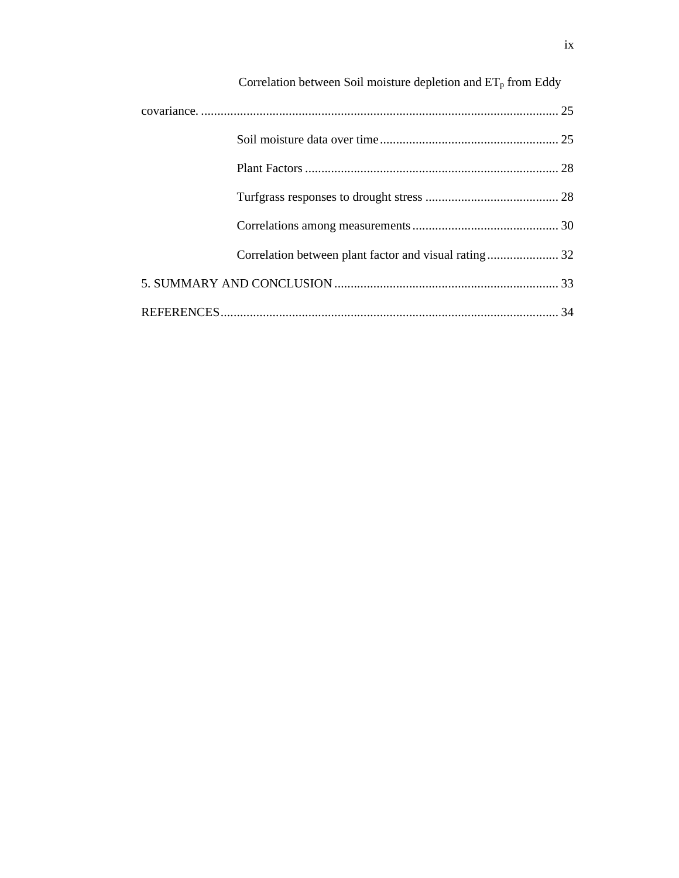| Correlation between Soil moisture depletion and $ET_p$ from Eddy |  |
|------------------------------------------------------------------|--|
|                                                                  |  |
|                                                                  |  |
|                                                                  |  |
|                                                                  |  |
|                                                                  |  |
| Correlation between plant factor and visual rating 32            |  |
|                                                                  |  |
|                                                                  |  |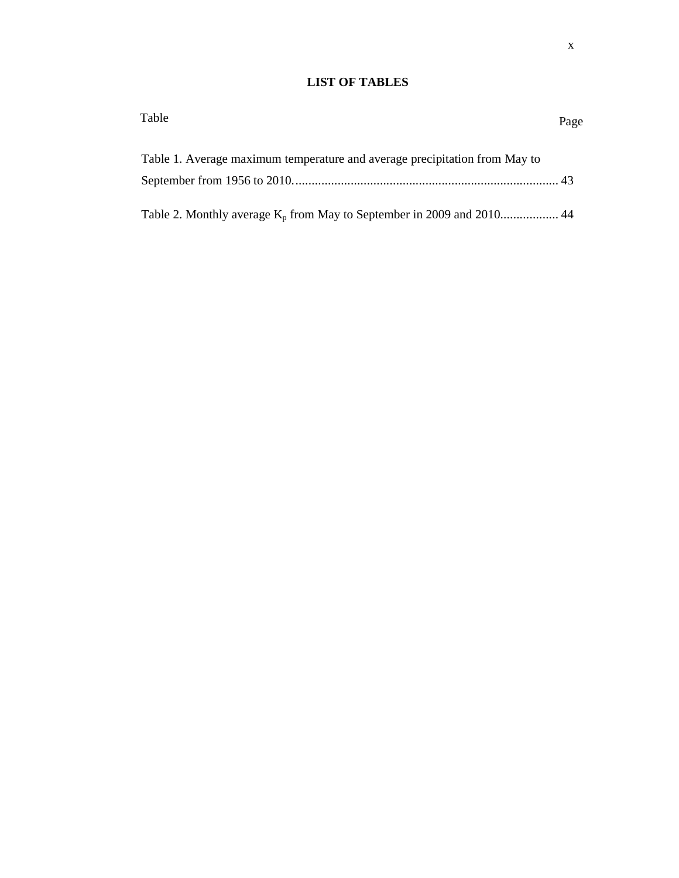# **LIST OF TABLES**

| Table                                                                      | Page |
|----------------------------------------------------------------------------|------|
| Table 1. Average maximum temperature and average precipitation from May to |      |
|                                                                            |      |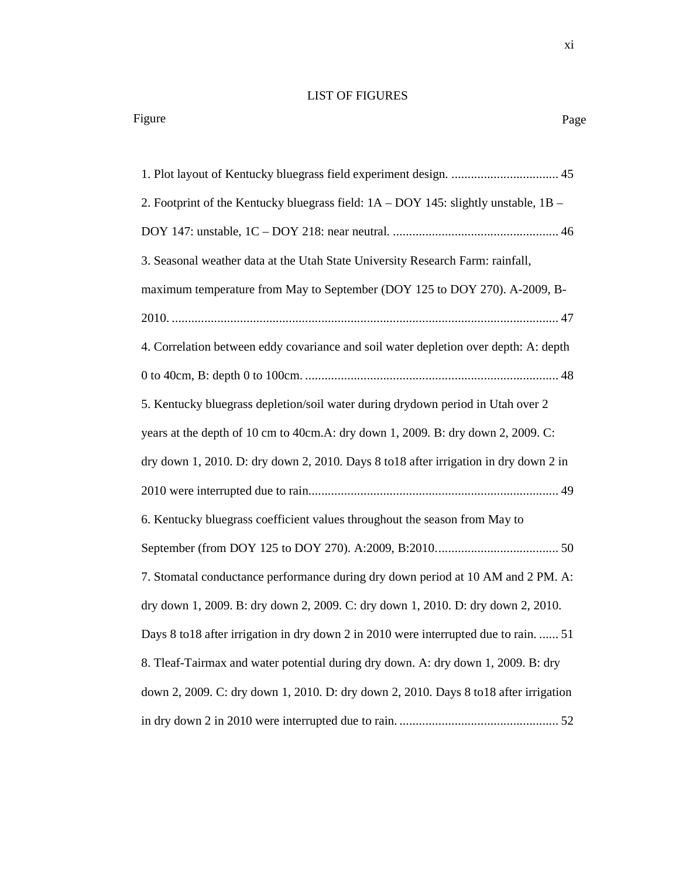#### LIST OF FIGURES

1. Plot layout of Kentucky bluegrass field experiment design. ................................. 45 2. Footprint of the Kentucky bluegrass field: 1A – DOY 145: slightly unstable, 1B – DOY 147: unstable, 1C – DOY 218: near neutral. ................................................... 46 3. Seasonal weather data at the Utah State University Research Farm: rainfall, maximum temperature from May to September (DOY 125 to DOY 270). A-2009, B-2010. ....................................................................................................................... 47 4. Correlation between eddy covariance and soil water depletion over depth: A: depth 0 to 40cm, B: depth 0 to 100cm. .............................................................................. 48 5. Kentucky bluegrass depletion/soil water during drydown period in Utah over 2 years at the depth of 10 cm to 40cm.A: dry down 1, 2009. B: dry down 2, 2009. C: dry down 1, 2010. D: dry down 2, 2010. Days 8 to18 after irrigation in dry down 2 in 2010 were interrupted due to rain. ............................................................................ 49 6. Kentucky bluegrass coefficient values throughout the season from May to September (from DOY 125 to DOY 270). A:2009, B:2010. ..................................... 50 7. Stomatal conductance performance during dry down period at 10 AM and 2 PM. A: dry down 1, 2009. B: dry down 2, 2009. C: dry down 1, 2010. D: dry down 2, 2010. Days 8 to18 after irrigation in dry down 2 in 2010 were interrupted due to rain. ...... 51 8. Tleaf-Tairmax and water potential during dry down. A: dry down 1, 2009. B: dry down 2, 2009. C: dry down 1, 2010. D: dry down 2, 2010. Days 8 to18 after irrigation in dry down 2 in 2010 were interrupted due to rain. ................................................. 52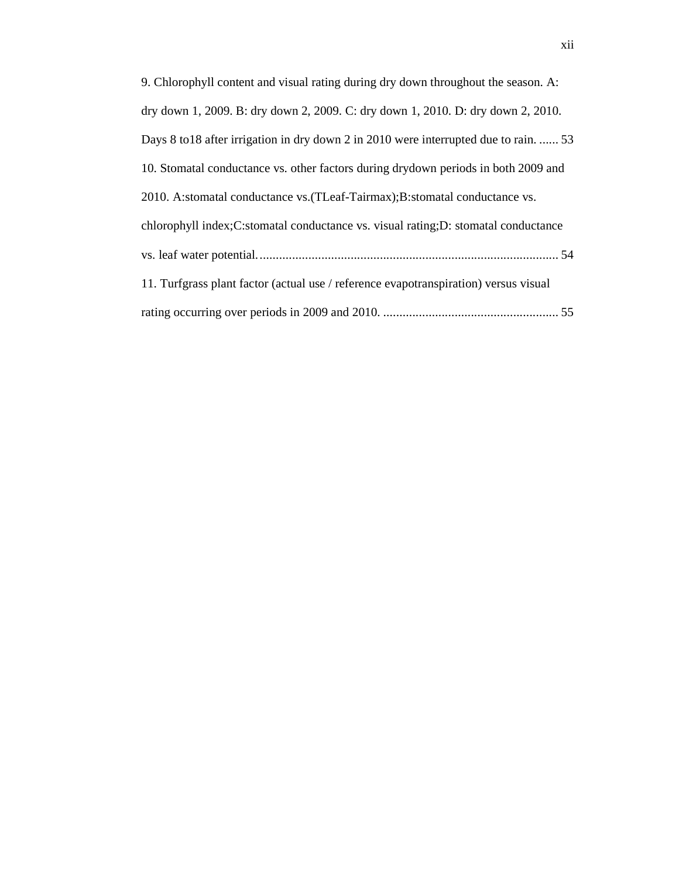| 9. Chlorophyll content and visual rating during dry down throughout the season. A:   |
|--------------------------------------------------------------------------------------|
| dry down 1, 2009. B: dry down 2, 2009. C: dry down 1, 2010. D: dry down 2, 2010.     |
| Days 8 to 18 after irrigation in dry down 2 in 2010 were interrupted due to rain 53  |
| 10. Stomatal conductance vs. other factors during drydown periods in both 2009 and   |
| 2010. A:stomatal conductance vs. (TLeaf-Tairmax); B:stomatal conductance vs.         |
| chlorophyll index;C:stomatal conductance vs. visual rating;D: stomatal conductance   |
|                                                                                      |
| 11. Turfgrass plant factor (actual use / reference evapotranspiration) versus visual |
|                                                                                      |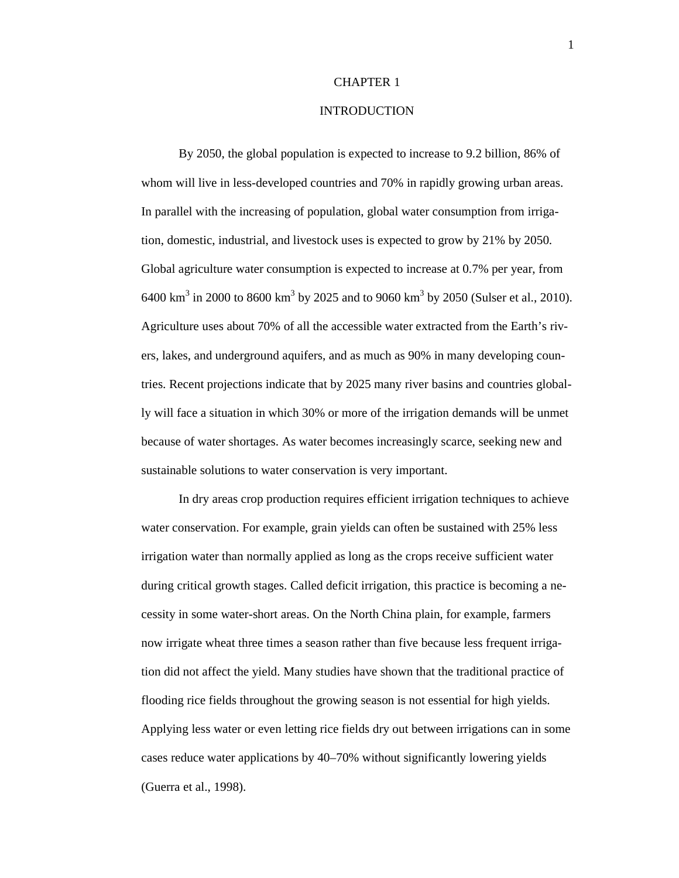#### CHAPTER 1

#### INTRODUCTION

By 2050, the global population is expected to increase to 9.2 billion, 86% of whom will live in less-developed countries and 70% in rapidly growing urban areas. In parallel with the increasing of population, global water consumption from irrigation, domestic, industrial, and livestock uses is expected to grow by 21% by 2050. Global agriculture water consumption is expected to increase at 0.7% per year, from 6400 km<sup>3</sup> in 2000 to 8600 km<sup>3</sup> by 2025 and to 9060 km<sup>3</sup> by 2050 (Sulser et al., 2010). Agriculture uses about 70% of all the accessible water extracted from the Earth's rivers, lakes, and underground aquifers, and as much as 90% in many developing countries. Recent projections indicate that by 2025 many river basins and countries globally will face a situation in which 30% or more of the irrigation demands will be unmet because of water shortages. As water becomes increasingly scarce, seeking new and sustainable solutions to water conservation is very important.

In dry areas crop production requires efficient irrigation techniques to achieve water conservation. For example, grain yields can often be sustained with 25% less irrigation water than normally applied as long as the crops receive sufficient water during critical growth stages. Called deficit irrigation, this practice is becoming a necessity in some water-short areas. On the North China plain, for example, farmers now irrigate wheat three times a season rather than five because less frequent irrigation did not affect the yield. Many studies have shown that the traditional practice of flooding rice fields throughout the growing season is not essential for high yields. Applying less water or even letting rice fields dry out between irrigations can in some cases reduce water applications by 40–70% without significantly lowering yields (Guerra et al., 1998).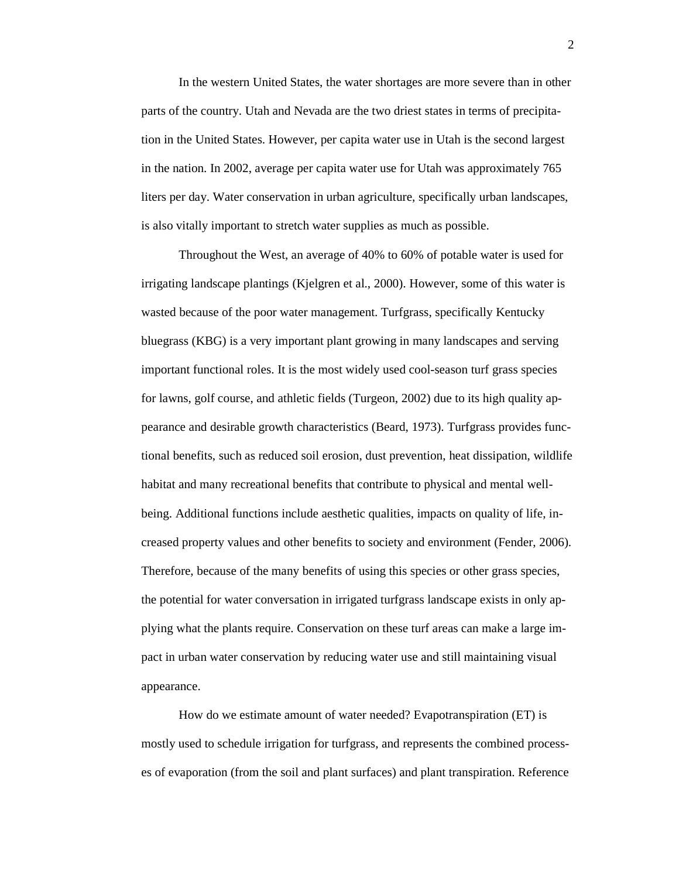In the western United States, the water shortages are more severe than in other parts of the country. Utah and Nevada are the two driest states in terms of precipitation in the United States. However, per capita water use in Utah is the second largest in the nation. In 2002, average per capita water use for Utah was approximately 765 liters per day. Water conservation in urban agriculture, specifically urban landscapes, is also vitally important to stretch water supplies as much as possible.

Throughout the West, an average of 40% to 60% of potable water is used for irrigating landscape plantings (Kjelgren et al., 2000). However, some of this water is wasted because of the poor water management. Turfgrass, specifically Kentucky bluegrass (KBG) is a very important plant growing in many landscapes and serving important functional roles. It is the most widely used cool-season turf grass species for lawns, golf course, and athletic fields (Turgeon, 2002) due to its high quality appearance and desirable growth characteristics (Beard, 1973). Turfgrass provides functional benefits, such as reduced soil erosion, dust prevention, heat dissipation, wildlife habitat and many recreational benefits that contribute to physical and mental wellbeing. Additional functions include aesthetic qualities, impacts on quality of life, increased property values and other benefits to society and environment (Fender, 2006). Therefore, because of the many benefits of using this species or other grass species, the potential for water conversation in irrigated turfgrass landscape exists in only applying what the plants require. Conservation on these turf areas can make a large impact in urban water conservation by reducing water use and still maintaining visual appearance.

How do we estimate amount of water needed? Evapotranspiration (ET) is mostly used to schedule irrigation for turfgrass, and represents the combined processes of evaporation (from the soil and plant surfaces) and plant transpiration. Reference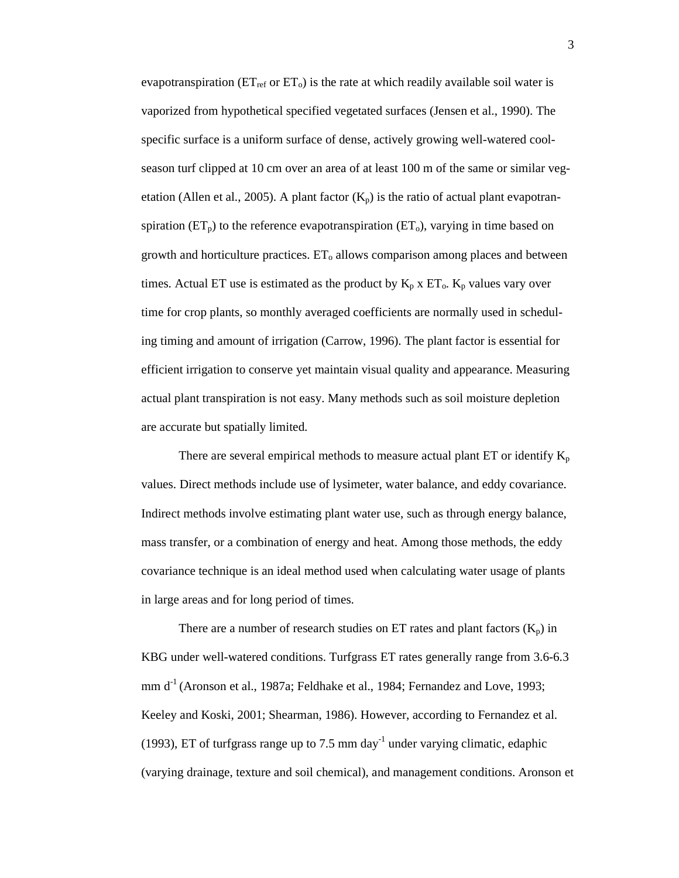evapotranspiration ( $ET_{ref}$  or  $ET_0$ ) is the rate at which readily available soil water is vaporized from hypothetical specified vegetated surfaces (Jensen et al., 1990). The specific surface is a uniform surface of dense, actively growing well-watered coolseason turf clipped at 10 cm over an area of at least 100 m of the same or similar vegetation (Allen et al., 2005). A plant factor  $(K_p)$  is the ratio of actual plant evapotranspiration  $(ET_p)$  to the reference evapotranspiration  $(ET_o)$ , varying in time based on growth and horticulture practices.  $ET_0$  allows comparison among places and between times. Actual ET use is estimated as the product by  $K_p$  x  $ET_0$ .  $K_p$  values vary over time for crop plants, so monthly averaged coefficients are normally used in scheduling timing and amount of irrigation (Carrow, 1996). The plant factor is essential for efficient irrigation to conserve yet maintain visual quality and appearance. Measuring actual plant transpiration is not easy. Many methods such as soil moisture depletion are accurate but spatially limited.

There are several empirical methods to measure actual plant  $ET$  or identify  $K_p$ values. Direct methods include use of lysimeter, water balance, and eddy covariance. Indirect methods involve estimating plant water use, such as through energy balance, mass transfer, or a combination of energy and heat. Among those methods, the eddy covariance technique is an ideal method used when calculating water usage of plants in large areas and for long period of times.

There are a number of research studies on ET rates and plant factors  $(K_n)$  in KBG under well-watered conditions. Turfgrass ET rates generally range from 3.6-6.3 mm  $d^{-1}$  (Aronson et al., 1987a; Feldhake et al., 1984; Fernandez and Love, 1993; Keeley and Koski, 2001; Shearman, 1986). However, according to Fernandez et al. (1993), ET of turfgrass range up to 7.5 mm day<sup>-1</sup> under varying climatic, edaphic (varying drainage, texture and soil chemical), and management conditions. Aronson et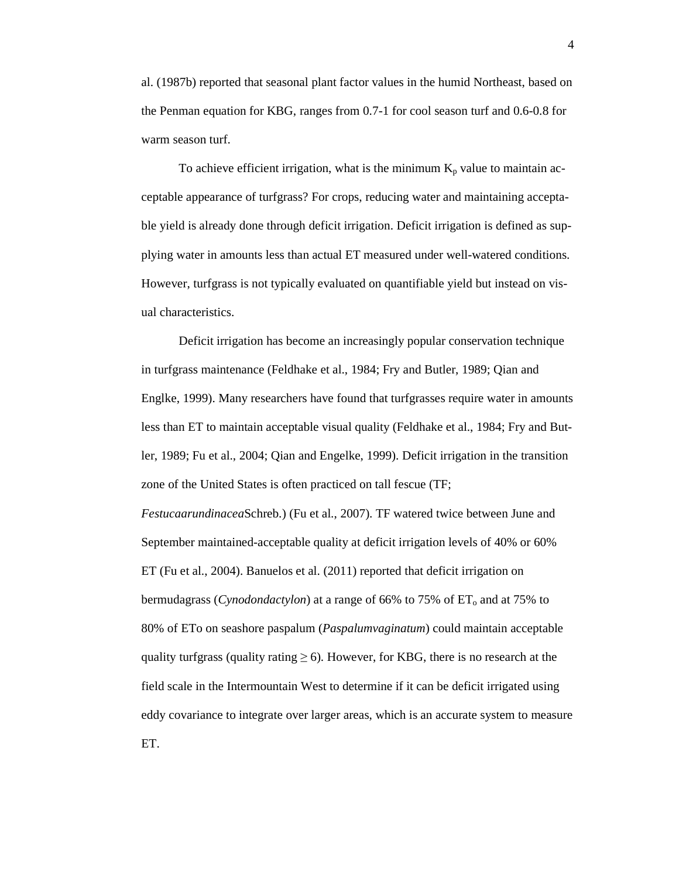al. (1987b) reported that seasonal plant factor values in the humid Northeast, based on the Penman equation for KBG, ranges from 0.7-1 for cool season turf and 0.6-0.8 for warm season turf.

To achieve efficient irrigation, what is the minimum  $K_p$  value to maintain acceptable appearance of turfgrass? For crops, reducing water and maintaining acceptable yield is already done through deficit irrigation. Deficit irrigation is defined as supplying water in amounts less than actual ET measured under well-watered conditions. However, turfgrass is not typically evaluated on quantifiable yield but instead on visual characteristics.

Deficit irrigation has become an increasingly popular conservation technique in turfgrass maintenance (Feldhake et al., 1984; Fry and Butler, 1989; Qian and Englke, 1999). Many researchers have found that turfgrasses require water in amounts less than ET to maintain acceptable visual quality (Feldhake et al., 1984; Fry and Butler, 1989; Fu et al., 2004; Qian and Engelke, 1999). Deficit irrigation in the transition zone of the United States is often practiced on tall fescue (TF;

*Festucaarundinacea*Schreb.) (Fu et al., 2007). TF watered twice between June and September maintained-acceptable quality at deficit irrigation levels of 40% or 60% ET (Fu et al., 2004). Banuelos et al. (2011) reported that deficit irrigation on bermudagrass (*Cynodondactylon*) at a range of 66% to 75% of ET<sub>o</sub> and at 75% to 80% of ETo on seashore paspalum (*Paspalumvaginatum*) could maintain acceptable quality turfgrass (quality rating  $\geq 6$ ). However, for KBG, there is no research at the field scale in the Intermountain West to determine if it can be deficit irrigated using eddy covariance to integrate over larger areas, which is an accurate system to measure ET.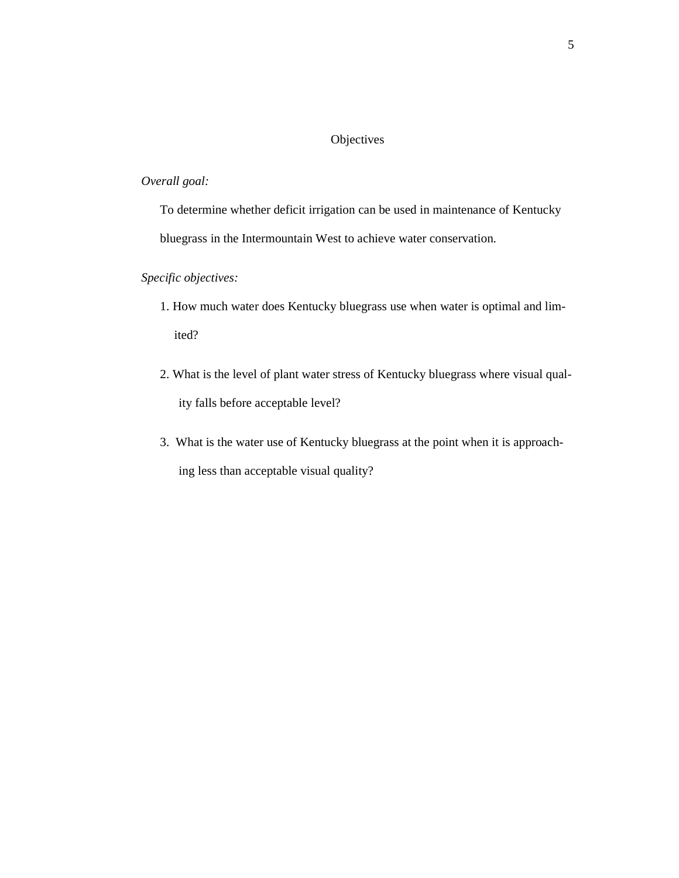## **Objectives**

## *Overall goal:*

To determine whether deficit irrigation can be used in maintenance of Kentucky bluegrass in the Intermountain West to achieve water conservation.

# *Specific objectives:*

- 1. How much water does Kentucky bluegrass use when water is optimal and limited?
- 2. What is the level of plant water stress of Kentucky bluegrass where visual quality falls before acceptable level?
- 3. What is the water use of Kentucky bluegrass at the point when it is approaching less than acceptable visual quality?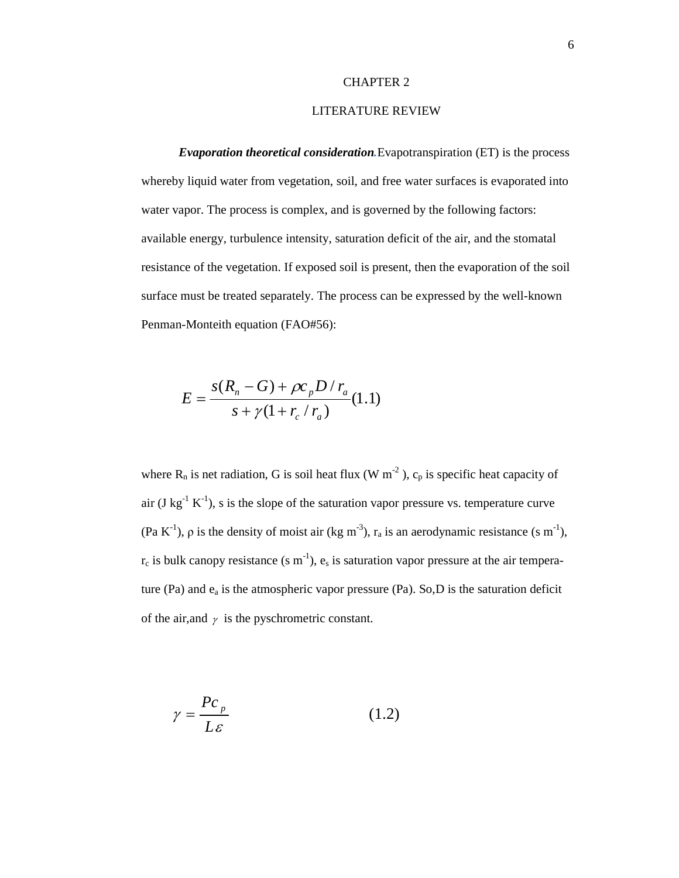#### CHAPTER 2

## LITERATURE REVIEW

*Evaporation theoretical consideration.*Evapotranspiration (ET) is the process whereby liquid water from vegetation, soil, and free water surfaces is evaporated into water vapor. The process is complex, and is governed by the following factors: available energy, turbulence intensity, saturation deficit of the air, and the stomatal resistance of the vegetation. If exposed soil is present, then the evaporation of the soil surface must be treated separately. The process can be expressed by the well-known Penman-Monteith equation (FAO#56):

$$
E = \frac{s(R_n - G) + \rho c_p D / r_a}{s + \gamma (1 + r_c / r_a)} (1.1)
$$

where  $R_n$  is net radiation, G is soil heat flux (W m<sup>-2</sup>),  $c_p$  is specific heat capacity of air (J  $kg^{-1} K^{-1}$ ), s is the slope of the saturation vapor pressure vs. temperature curve (Pa K<sup>-1</sup>),  $\rho$  is the density of moist air (kg m<sup>-3</sup>), r<sub>a</sub> is an aerodynamic resistance (s m<sup>-1</sup>),  $r_c$  is bulk canopy resistance (s m<sup>-1</sup>),  $e_s$  is saturation vapor pressure at the air temperature (Pa) and ea is the atmospheric vapor pressure (Pa). So,D is the saturation deficit of the air, and  $\gamma$  is the pyschrometric constant.

$$
\gamma = \frac{P c_p}{L \varepsilon} \tag{1.2}
$$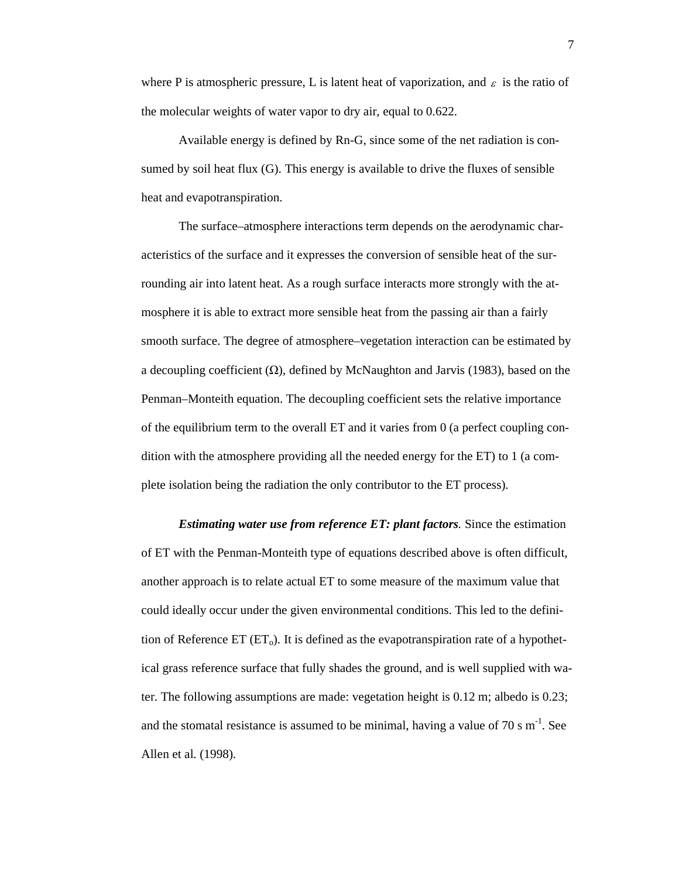where P is atmospheric pressure, L is latent heat of vaporization, and  $\varepsilon$  is the ratio of the molecular weights of water vapor to dry air, equal to 0.622.

Available energy is defined by Rn-G, since some of the net radiation is consumed by soil heat flux (G). This energy is available to drive the fluxes of sensible heat and evapotranspiration.

The surface–atmosphere interactions term depends on the aerodynamic characteristics of the surface and it expresses the conversion of sensible heat of the surrounding air into latent heat. As a rough surface interacts more strongly with the atmosphere it is able to extract more sensible heat from the passing air than a fairly smooth surface. The degree of atmosphere–vegetation interaction can be estimated by a decoupling coefficient  $(\Omega)$ , defined by McNaughton and Jarvis (1983), based on the Penman–Monteith equation. The decoupling coefficient sets the relative importance of the equilibrium term to the overall ET and it varies from  $\theta$  (a perfect coupling condition with the atmosphere providing all the needed energy for the ET) to 1 (a complete isolation being the radiation the only contributor to the ET process).

*Estimating water use from reference ET: plant factors.* Since the estimation of ET with the Penman-Monteith type of equations described above is often difficult, another approach is to relate actual ET to some measure of the maximum value that could ideally occur under the given environmental conditions. This led to the definition of Reference  $ET (ET_0)$ . It is defined as the evapotranspiration rate of a hypothetical grass reference surface that fully shades the ground, and is well supplied with water. The following assumptions are made: vegetation height is 0.12 m; albedo is 0.23; and the stomatal resistance is assumed to be minimal, having a value of 70 s  $m^{-1}$ . See Allen et al. (1998).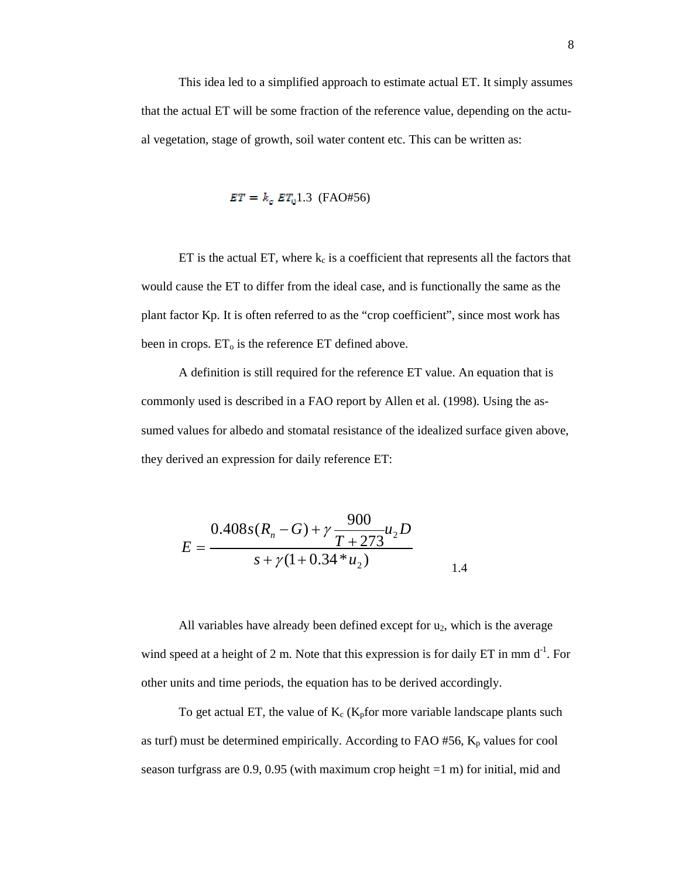This idea led to a simplified approach to estimate actual ET. It simply assumes that the actual ET will be some fraction of the reference value, depending on the actual vegetation, stage of growth, soil water content etc. This can be written as:

$$
ET = k_c \ ET_u 1.3 \ \text{(FAO#56)}
$$

ET is the actual ET, where  $k_c$  is a coefficient that represents all the factors that would cause the ET to differ from the ideal case, and is functionally the same as the plant factor Kp. It is often referred to as the "crop coefficient", since most work has been in crops.  $ET_0$  is the reference ET defined above.

A definition is still required for the reference ET value. An equation that is commonly used is described in a FAO report by Allen et al. (1998). Using the assumed values for albedo and stomatal resistance of the idealized surface given above, they derived an expression for daily reference ET:

$$
E = \frac{0.408s(R_n - G) + \gamma \frac{900}{T + 273}u_2 D}{s + \gamma(1 + 0.34 * u_2)}
$$

All variables have already been defined except for  $u_2$ , which is the average wind speed at a height of 2 m. Note that this expression is for daily ET in mm  $d<sup>-1</sup>$ . For other units and time periods, the equation has to be derived accordingly.

To get actual ET, the value of  $K_c$  ( $K_p$ for more variable landscape plants such as turf) must be determined empirically. According to FAO #56,  $K_p$  values for cool season turfgrass are  $0.9$ ,  $0.95$  (with maximum crop height  $=1$  m) for initial, mid and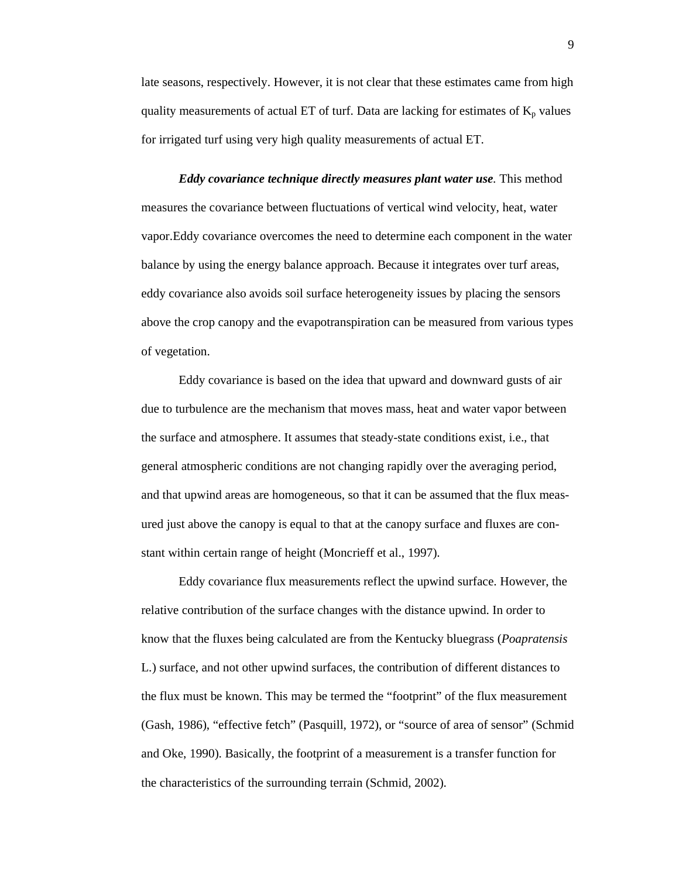late seasons, respectively. However, it is not clear that these estimates came from high quality measurements of actual ET of turf. Data are lacking for estimates of  $K_p$  values for irrigated turf using very high quality measurements of actual ET.

*Eddy covariance technique directly measures plant water use.* This method measures the covariance between fluctuations of vertical wind velocity, heat, water vapor.Eddy covariance overcomes the need to determine each component in the water balance by using the energy balance approach. Because it integrates over turf areas, eddy covariance also avoids soil surface heterogeneity issues by placing the sensors above the crop canopy and the evapotranspiration can be measured from various types of vegetation.

Eddy covariance is based on the idea that upward and downward gusts of air due to turbulence are the mechanism that moves mass, heat and water vapor between the surface and atmosphere. It assumes that steady-state conditions exist, i.e., that general atmospheric conditions are not changing rapidly over the averaging period, and that upwind areas are homogeneous, so that it can be assumed that the flux measured just above the canopy is equal to that at the canopy surface and fluxes are constant within certain range of height (Moncrieff et al., 1997).

Eddy covariance flux measurements reflect the upwind surface. However, the relative contribution of the surface changes with the distance upwind. In order to know that the fluxes being calculated are from the Kentucky bluegrass (*Poapratensis* L.) surface, and not other upwind surfaces, the contribution of different distances to the flux must be known. This may be termed the "footprint" of the flux measurement (Gash, 1986), "effective fetch" (Pasquill, 1972), or "source of area of sensor" (Schmid and Oke, 1990). Basically, the footprint of a measurement is a transfer function for the characteristics of the surrounding terrain (Schmid, 2002).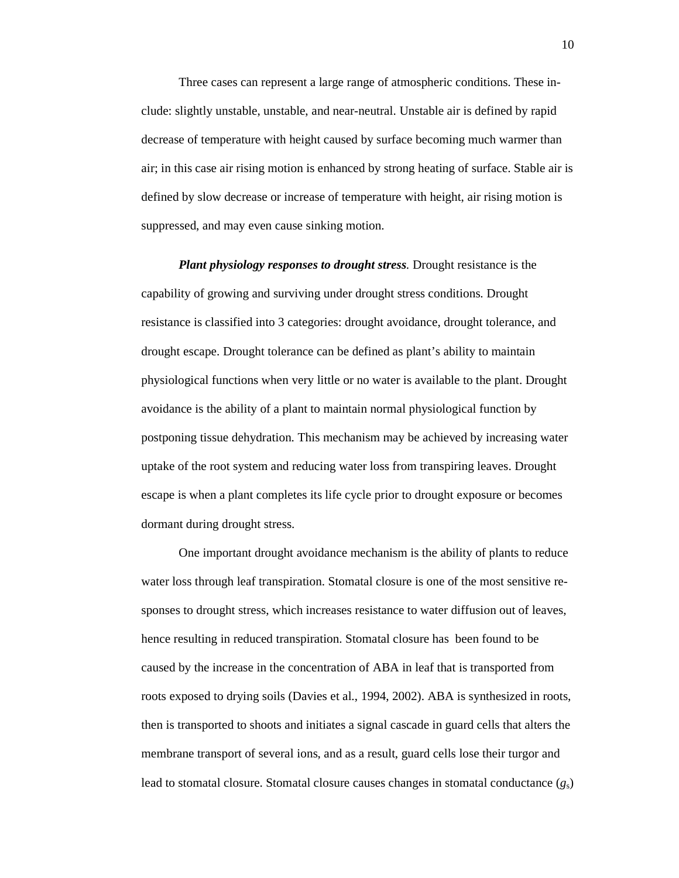Three cases can represent a large range of atmospheric conditions. These include: slightly unstable, unstable, and near-neutral. Unstable air is defined by rapid decrease of temperature with height caused by surface becoming much warmer than air; in this case air rising motion is enhanced by strong heating of surface. Stable air is defined by slow decrease or increase of temperature with height, air rising motion is suppressed, and may even cause sinking motion.

*Plant physiology responses to drought stress.* Drought resistance is the capability of growing and surviving under drought stress conditions. Drought resistance is classified into 3 categories: drought avoidance, drought tolerance, and drought escape. Drought tolerance can be defined as plant's ability to maintain physiological functions when very little or no water is available to the plant. Drought avoidance is the ability of a plant to maintain normal physiological function by postponing tissue dehydration. This mechanism may be achieved by increasing water uptake of the root system and reducing water loss from transpiring leaves. Drought escape is when a plant completes its life cycle prior to drought exposure or becomes dormant during drought stress.

One important drought avoidance mechanism is the ability of plants to reduce water loss through leaf transpiration. Stomatal closure is one of the most sensitive responses to drought stress, which increases resistance to water diffusion out of leaves, hence resulting in reduced transpiration. Stomatal closure has been found to be caused by the increase in the concentration of ABA in leaf that is transported from roots exposed to drying soils (Davies et al., 1994, 2002). ABA is synthesized in roots, then is transported to shoots and initiates a signal cascade in guard cells that alters the membrane transport of several ions, and as a result, guard cells lose their turgor and lead to stomatal closure. Stomatal closure causes changes in stomatal conductance (*g*s)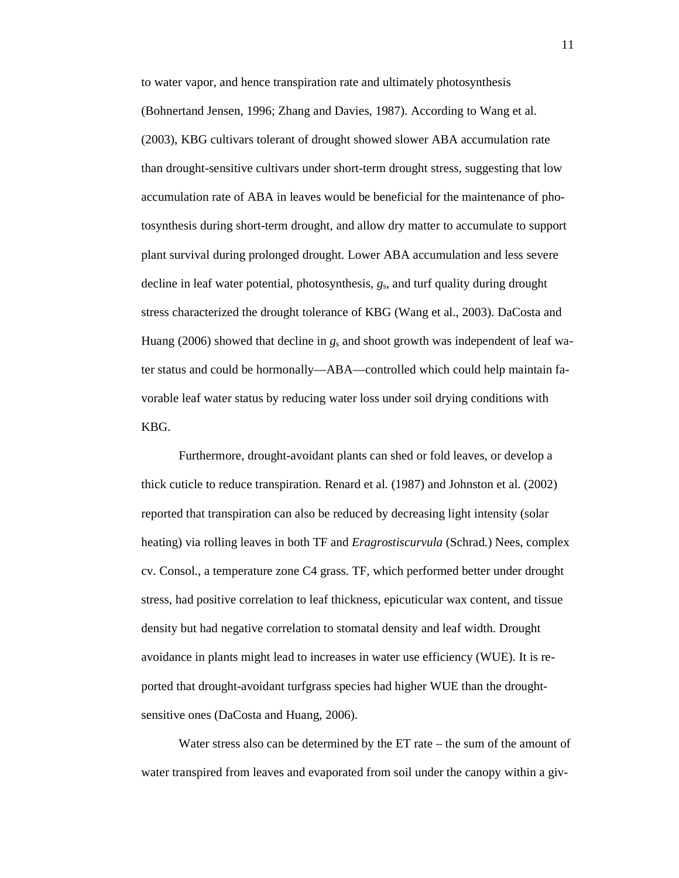to water vapor, and hence transpiration rate and ultimately photosynthesis (Bohnertand Jensen, 1996; Zhang and Davies, 1987). According to Wang et al. (2003), KBG cultivars tolerant of drought showed slower ABA accumulation rate than drought-sensitive cultivars under short-term drought stress, suggesting that low accumulation rate of ABA in leaves would be beneficial for the maintenance of photosynthesis during short-term drought, and allow dry matter to accumulate to support plant survival during prolonged drought. Lower ABA accumulation and less severe decline in leaf water potential, photosynthesis, *g*s, and turf quality during drought stress characterized the drought tolerance of KBG (Wang et al., 2003). DaCosta and Huang (2006) showed that decline in *g*<sup>s</sup> and shoot growth was independent of leaf water status and could be hormonally—ABA—controlled which could help maintain favorable leaf water status by reducing water loss under soil drying conditions with KBG.

Furthermore, drought-avoidant plants can shed or fold leaves, or develop a thick cuticle to reduce transpiration. Renard et al. (1987) and Johnston et al. (2002) reported that transpiration can also be reduced by decreasing light intensity (solar heating) via rolling leaves in both TF and *Eragrostiscurvula* (Schrad.) Nees, complex cv. Consol., a temperature zone C4 grass. TF, which performed better under drought stress, had positive correlation to leaf thickness, epicuticular wax content, and tissue density but had negative correlation to stomatal density and leaf width. Drought avoidance in plants might lead to increases in water use efficiency (WUE). It is reported that drought-avoidant turfgrass species had higher WUE than the droughtsensitive ones (DaCosta and Huang, 2006).

Water stress also can be determined by the ET rate – the sum of the amount of water transpired from leaves and evaporated from soil under the canopy within a giv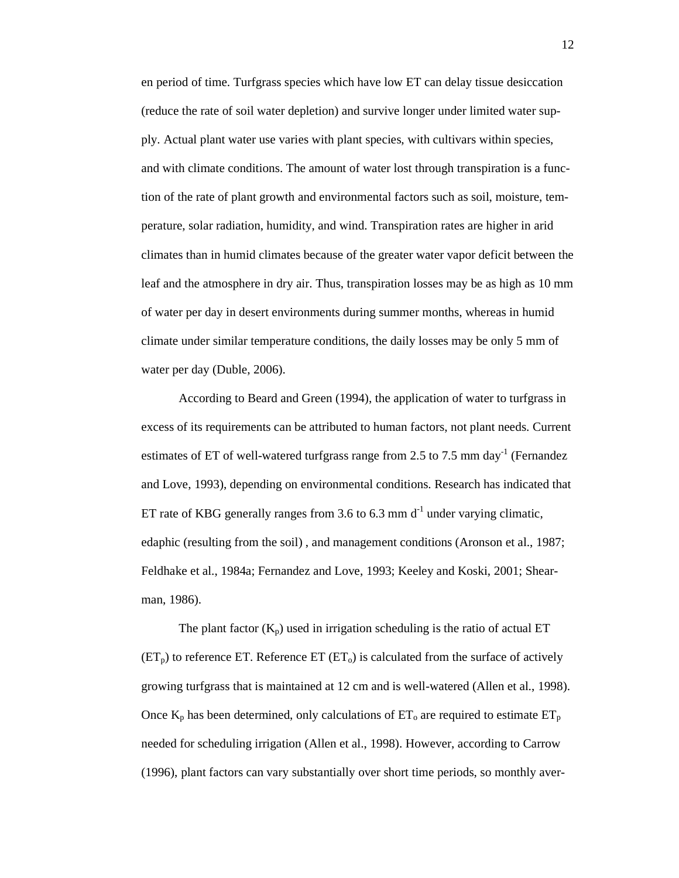en period of time. Turfgrass species which have low ET can delay tissue desiccation (reduce the rate of soil water depletion) and survive longer under limited water supply. Actual plant water use varies with plant species, with cultivars within species, and with climate conditions. The amount of water lost through transpiration is a function of the rate of plant growth and environmental factors such as soil, moisture, temperature, solar radiation, humidity, and wind. Transpiration rates are higher in arid climates than in humid climates because of the greater water vapor deficit between the leaf and the atmosphere in dry air. Thus, transpiration losses may be as high as 10 mm of water per day in desert environments during summer months, whereas in humid climate under similar temperature conditions, the daily losses may be only 5 mm of water per day (Duble, 2006).

According to Beard and Green (1994), the application of water to turfgrass in excess of its requirements can be attributed to human factors, not plant needs. Current estimates of ET of well-watered turfgrass range from 2.5 to 7.5 mm day<sup>-1</sup> (Fernandez and Love, 1993), depending on environmental conditions. Research has indicated that ET rate of KBG generally ranges from 3.6 to 6.3 mm  $d^{-1}$  under varying climatic, edaphic (resulting from the soil) , and management conditions (Aronson et al., 1987; Feldhake et al., 1984a; Fernandez and Love, 1993; Keeley and Koski, 2001; Shearman, 1986).

The plant factor  $(K_n)$  used in irrigation scheduling is the ratio of actual ET  $(ET<sub>p</sub>)$  to reference ET. Reference ET  $(ET<sub>o</sub>)$  is calculated from the surface of actively growing turfgrass that is maintained at 12 cm and is well-watered (Allen et al., 1998). Once  $K_p$  has been determined, only calculations of  $ET_o$  are required to estimate  $ET_p$ needed for scheduling irrigation (Allen et al., 1998). However, according to Carrow (1996), plant factors can vary substantially over short time periods, so monthly aver-

12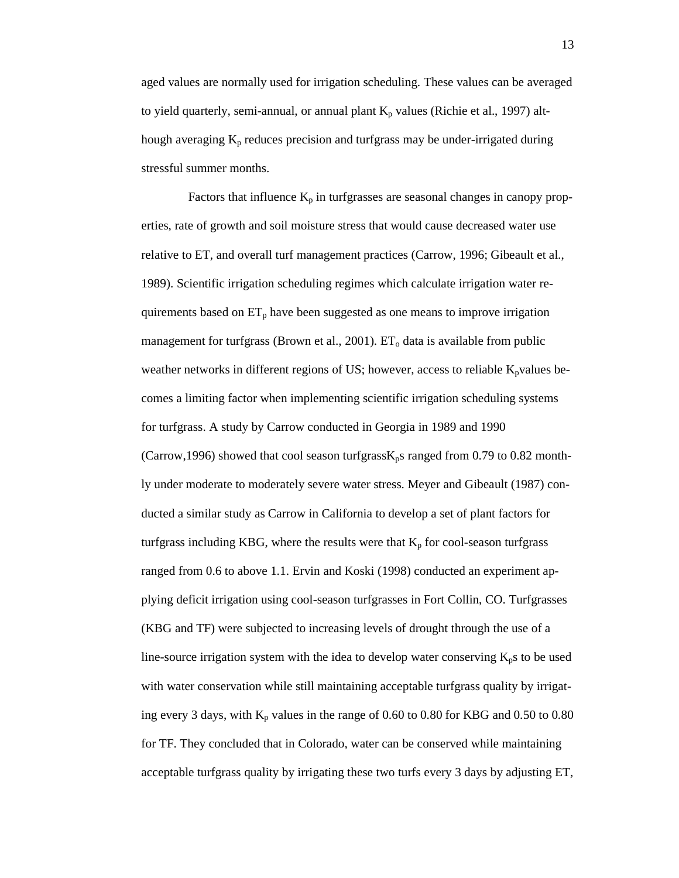aged values are normally used for irrigation scheduling. These values can be averaged to yield quarterly, semi-annual, or annual plant  $K_p$  values (Richie et al., 1997) although averaging  $K_p$  reduces precision and turfgrass may be under-irrigated during stressful summer months.

Factors that influence  $K_p$  in turfgrasses are seasonal changes in canopy properties, rate of growth and soil moisture stress that would cause decreased water use relative to ET, and overall turf management practices (Carrow, 1996; Gibeault et al., 1989). Scientific irrigation scheduling regimes which calculate irrigation water requirements based on  $ET_p$  have been suggested as one means to improve irrigation management for turfgrass (Brown et al., 2001).  $ET_0$  data is available from public weather networks in different regions of US; however, access to reliable  $K_p$ values becomes a limiting factor when implementing scientific irrigation scheduling systems for turfgrass. A study by Carrow conducted in Georgia in 1989 and 1990 (Carrow, 1996) showed that cool season turfgrass $K_p$ s ranged from 0.79 to 0.82 monthly under moderate to moderately severe water stress. Meyer and Gibeault (1987) conducted a similar study as Carrow in California to develop a set of plant factors for turfgrass including KBG, where the results were that  $K_p$  for cool-season turfgrass ranged from 0.6 to above 1.1. Ervin and Koski (1998) conducted an experiment applying deficit irrigation using cool-season turfgrasses in Fort Collin, CO. Turfgrasses (KBG and TF) were subjected to increasing levels of drought through the use of a line-source irrigation system with the idea to develop water conserving  $K_p$ s to be used with water conservation while still maintaining acceptable turfgrass quality by irrigating every 3 days, with  $K_p$  values in the range of 0.60 to 0.80 for KBG and 0.50 to 0.80 for TF. They concluded that in Colorado, water can be conserved while maintaining acceptable turfgrass quality by irrigating these two turfs every 3 days by adjusting ET,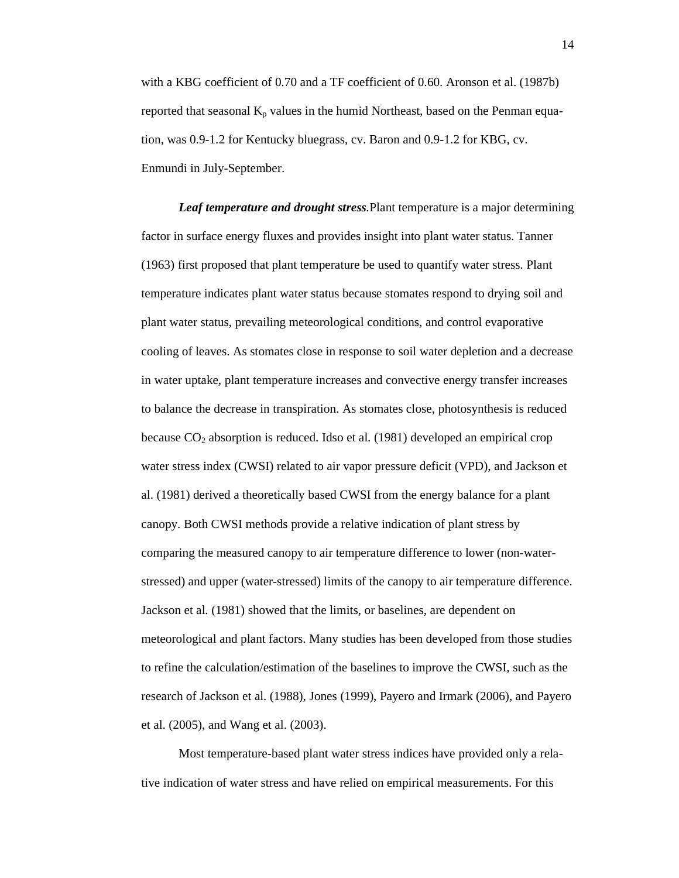with a KBG coefficient of 0.70 and a TF coefficient of 0.60. Aronson et al. (1987b) reported that seasonal  $K_p$  values in the humid Northeast, based on the Penman equation, was 0.9-1.2 for Kentucky bluegrass, cv. Baron and 0.9-1.2 for KBG, cv. Enmundi in July-September.

*Leaf temperature and drought stress.*Plant temperature is a major determining factor in surface energy fluxes and provides insight into plant water status. Tanner (1963) first proposed that plant temperature be used to quantify water stress. Plant temperature indicates plant water status because stomates respond to drying soil and plant water status, prevailing meteorological conditions, and control evaporative cooling of leaves. As stomates close in response to soil water depletion and a decrease in water uptake, plant temperature increases and convective energy transfer increases to balance the decrease in transpiration. As stomates close, photosynthesis is reduced because  $CO_2$  absorption is reduced. Idso et al. (1981) developed an empirical crop water stress index (CWSI) related to air vapor pressure deficit (VPD), and Jackson et al. (1981) derived a theoretically based CWSI from the energy balance for a plant canopy. Both CWSI methods provide a relative indication of plant stress by comparing the measured canopy to air temperature difference to lower (non-waterstressed) and upper (water-stressed) limits of the canopy to air temperature difference. Jackson et al. (1981) showed that the limits, or baselines, are dependent on meteorological and plant factors. Many studies has been developed from those studies to refine the calculation/estimation of the baselines to improve the CWSI, such as the research of Jackson et al. (1988), Jones (1999), Payero and Irmark (2006), and Payero et al. (2005), and Wang et al. (2003).

Most temperature-based plant water stress indices have provided only a relative indication of water stress and have relied on empirical measurements. For this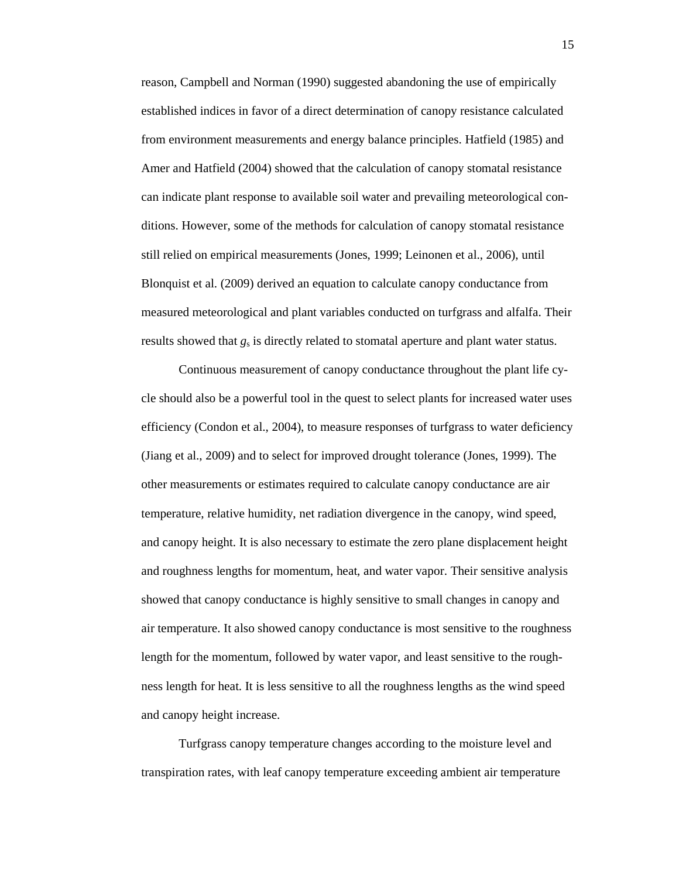reason, Campbell and Norman (1990) suggested abandoning the use of empirically established indices in favor of a direct determination of canopy resistance calculated from environment measurements and energy balance principles. Hatfield (1985) and Amer and Hatfield (2004) showed that the calculation of canopy stomatal resistance can indicate plant response to available soil water and prevailing meteorological conditions. However, some of the methods for calculation of canopy stomatal resistance still relied on empirical measurements (Jones, 1999; Leinonen et al., 2006), until Blonquist et al. (2009) derived an equation to calculate canopy conductance from measured meteorological and plant variables conducted on turfgrass and alfalfa. Their results showed that  $g_s$  is directly related to stomatal aperture and plant water status.

Continuous measurement of canopy conductance throughout the plant life cycle should also be a powerful tool in the quest to select plants for increased water uses efficiency (Condon et al., 2004), to measure responses of turfgrass to water deficiency (Jiang et al., 2009) and to select for improved drought tolerance (Jones, 1999). The other measurements or estimates required to calculate canopy conductance are air temperature, relative humidity, net radiation divergence in the canopy, wind speed, and canopy height. It is also necessary to estimate the zero plane displacement height and roughness lengths for momentum, heat, and water vapor. Their sensitive analysis showed that canopy conductance is highly sensitive to small changes in canopy and air temperature. It also showed canopy conductance is most sensitive to the roughness length for the momentum, followed by water vapor, and least sensitive to the roughness length for heat. It is less sensitive to all the roughness lengths as the wind speed and canopy height increase.

Turfgrass canopy temperature changes according to the moisture level and transpiration rates, with leaf canopy temperature exceeding ambient air temperature

15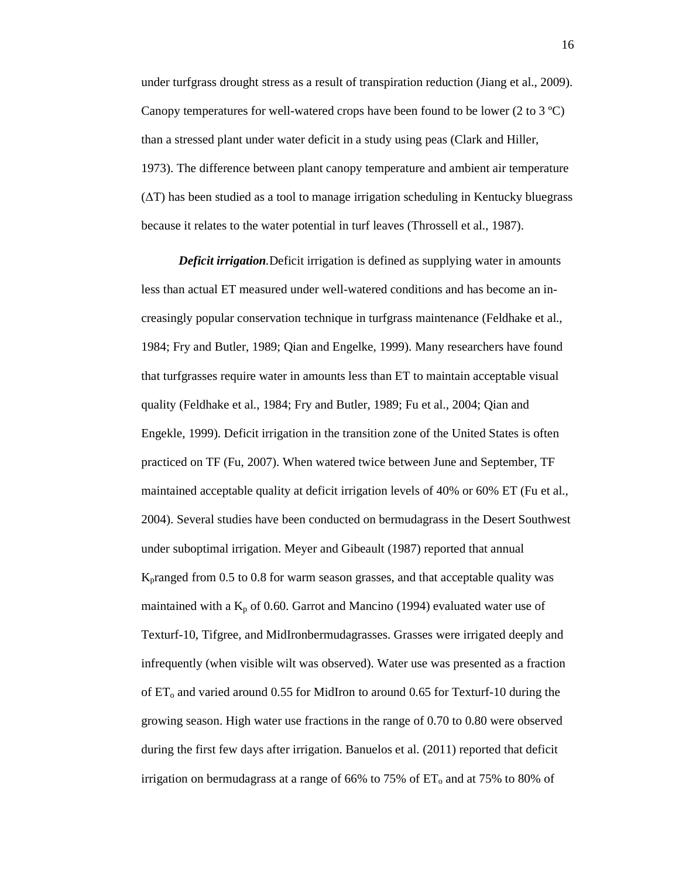under turfgrass drought stress as a result of transpiration reduction (Jiang et al., 2009). Canopy temperatures for well-watered crops have been found to be lower (2 to 3 ºC) than a stressed plant under water deficit in a study using peas (Clark and Hiller, 1973). The difference between plant canopy temperature and ambient air temperature (∆T) has been studied as a tool to manage irrigation scheduling in Kentucky bluegrass because it relates to the water potential in turf leaves (Throssell et al., 1987).

*Deficit irrigation.*Deficit irrigation is defined as supplying water in amounts less than actual ET measured under well-watered conditions and has become an increasingly popular conservation technique in turfgrass maintenance (Feldhake et al., 1984; Fry and Butler, 1989; Qian and Engelke, 1999). Many researchers have found that turfgrasses require water in amounts less than ET to maintain acceptable visual quality (Feldhake et al., 1984; Fry and Butler, 1989; Fu et al., 2004; Qian and Engekle, 1999). Deficit irrigation in the transition zone of the United States is often practiced on TF (Fu, 2007). When watered twice between June and September, TF maintained acceptable quality at deficit irrigation levels of 40% or 60% ET (Fu et al., 2004). Several studies have been conducted on bermudagrass in the Desert Southwest under suboptimal irrigation. Meyer and Gibeault (1987) reported that annual Kpranged from 0.5 to 0.8 for warm season grasses, and that acceptable quality was maintained with a  $K_p$  of 0.60. Garrot and Mancino (1994) evaluated water use of Texturf-10, Tifgree, and MidIronbermudagrasses. Grasses were irrigated deeply and infrequently (when visible wilt was observed). Water use was presented as a fraction of  $ET_{o}$  and varied around 0.55 for MidIron to around 0.65 for Texturf-10 during the growing season. High water use fractions in the range of 0.70 to 0.80 were observed during the first few days after irrigation. Banuelos et al. (2011) reported that deficit irrigation on bermudagrass at a range of 66% to 75% of  $ET_0$  and at 75% to 80% of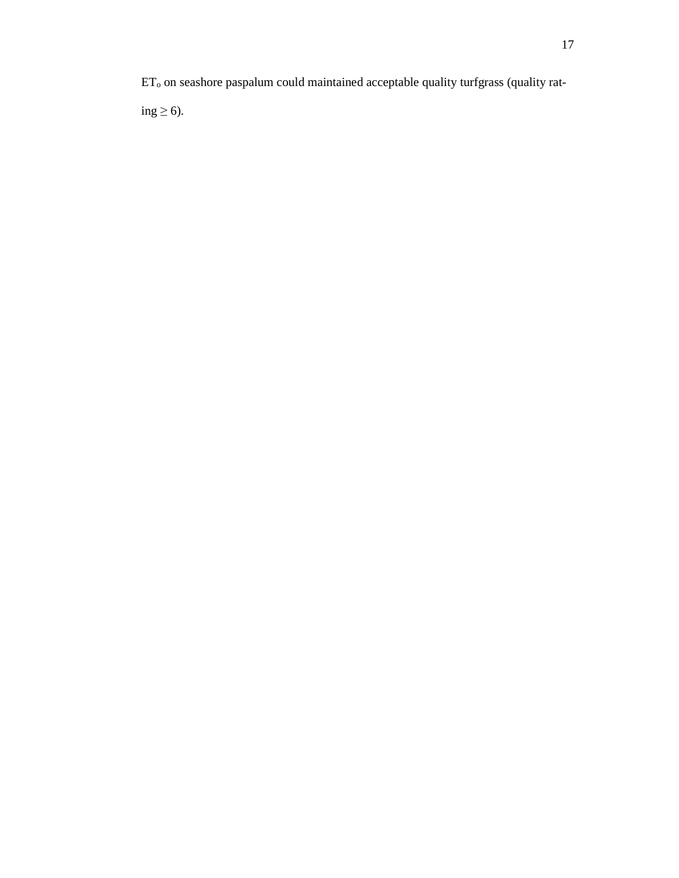ET<sub>o</sub> on seashore paspalum could maintained acceptable quality turfgrass (quality rating  $\geq 6$ ).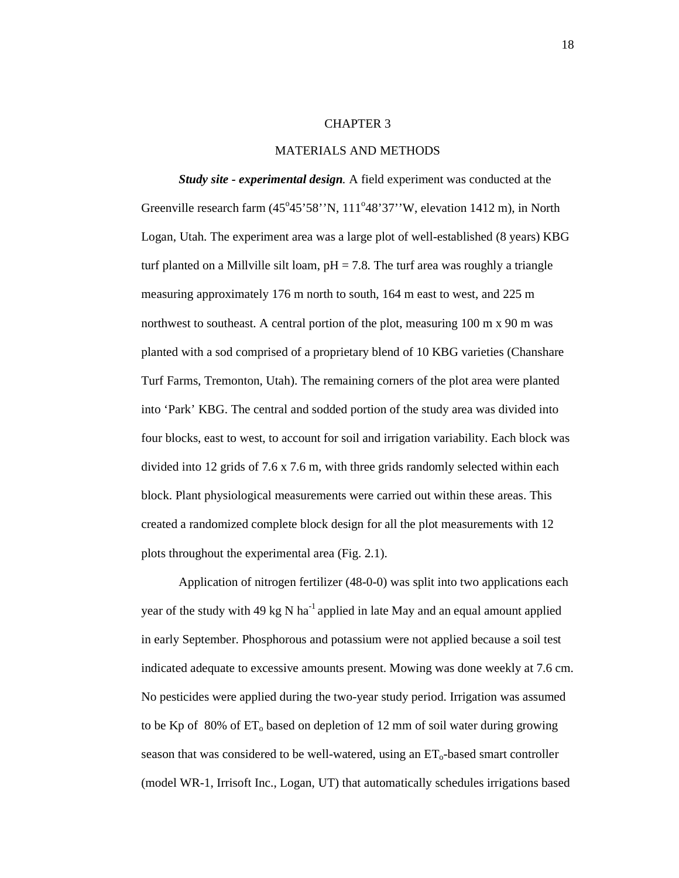#### CHAPTER 3

#### MATERIALS AND METHODS

*Study site - experimental design.* A field experiment was conducted at the Greenville research farm (45°45'58''N, 111°48'37''W, elevation 1412 m), in North Logan, Utah. The experiment area was a large plot of well-established (8 years) KBG turf planted on a Millville silt loam,  $pH = 7.8$ . The turf area was roughly a triangle measuring approximately 176 m north to south, 164 m east to west, and 225 m northwest to southeast. A central portion of the plot, measuring 100 m x 90 m was planted with a sod comprised of a proprietary blend of 10 KBG varieties (Chanshare Turf Farms, Tremonton, Utah). The remaining corners of the plot area were planted into 'Park' KBG. The central and sodded portion of the study area was divided into four blocks, east to west, to account for soil and irrigation variability. Each block was divided into 12 grids of 7.6 x 7.6 m, with three grids randomly selected within each block. Plant physiological measurements were carried out within these areas. This created a randomized complete block design for all the plot measurements with 12 plots throughout the experimental area (Fig. 2.1).

Application of nitrogen fertilizer (48-0-0) was split into two applications each year of the study with 49 kg N ha<sup>-1</sup> applied in late May and an equal amount applied in early September. Phosphorous and potassium were not applied because a soil test indicated adequate to excessive amounts present. Mowing was done weekly at 7.6 cm. No pesticides were applied during the two-year study period. Irrigation was assumed to be Kp of  $80\%$  of  $ET_0$  based on depletion of 12 mm of soil water during growing season that was considered to be well-watered, using an  $ET_0$ -based smart controller (model WR-1, Irrisoft Inc., Logan, UT) that automatically schedules irrigations based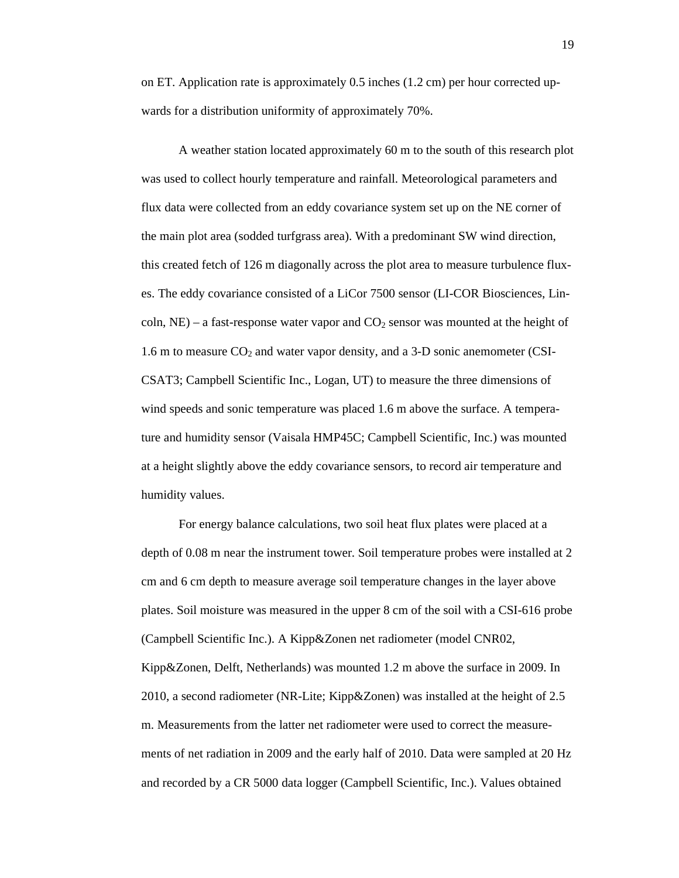on ET. Application rate is approximately 0.5 inches (1.2 cm) per hour corrected upwards for a distribution uniformity of approximately 70%.

A weather station located approximately 60 m to the south of this research plot was used to collect hourly temperature and rainfall. Meteorological parameters and flux data were collected from an eddy covariance system set up on the NE corner of the main plot area (sodded turfgrass area). With a predominant SW wind direction, this created fetch of 126 m diagonally across the plot area to measure turbulence fluxes. The eddy covariance consisted of a LiCor 7500 sensor (LI-COR Biosciences, Lincoln,  $NE$ ) – a fast-response water vapor and  $CO<sub>2</sub>$  sensor was mounted at the height of 1.6 m to measure  $CO<sub>2</sub>$  and water vapor density, and a 3-D sonic anemometer (CSI-CSAT3; Campbell Scientific Inc., Logan, UT) to measure the three dimensions of wind speeds and sonic temperature was placed 1.6 m above the surface. A temperature and humidity sensor (Vaisala HMP45C; Campbell Scientific, Inc.) was mounted at a height slightly above the eddy covariance sensors, to record air temperature and humidity values.

For energy balance calculations, two soil heat flux plates were placed at a depth of 0.08 m near the instrument tower. Soil temperature probes were installed at 2 cm and 6 cm depth to measure average soil temperature changes in the layer above plates. Soil moisture was measured in the upper 8 cm of the soil with a CSI-616 probe (Campbell Scientific Inc.). A Kipp&Zonen net radiometer (model CNR02, Kipp&Zonen, Delft, Netherlands) was mounted 1.2 m above the surface in 2009. In 2010, a second radiometer (NR-Lite; Kipp&Zonen) was installed at the height of 2.5 m. Measurements from the latter net radiometer were used to correct the measurements of net radiation in 2009 and the early half of 2010. Data were sampled at 20 Hz and recorded by a CR 5000 data logger (Campbell Scientific, Inc.). Values obtained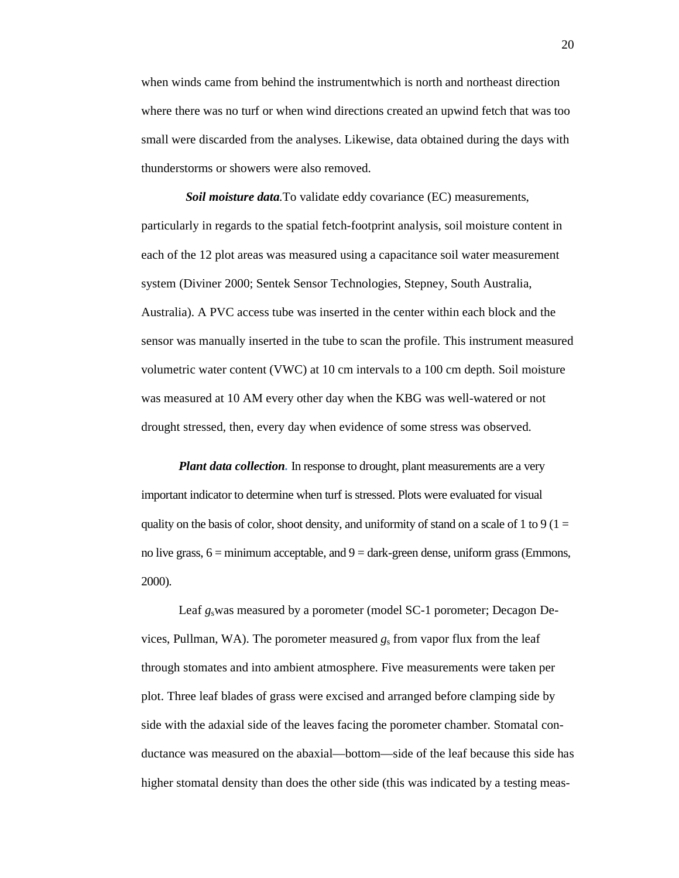when winds came from behind the instrumentwhich is north and northeast direction where there was no turf or when wind directions created an upwind fetch that was too small were discarded from the analyses. Likewise, data obtained during the days with thunderstorms or showers were also removed.

*Soil moisture data.*To validate eddy covariance (EC) measurements, particularly in regards to the spatial fetch-footprint analysis, soil moisture content in each of the 12 plot areas was measured using a capacitance soil water measurement system (Diviner 2000; Sentek Sensor Technologies, Stepney, South Australia, Australia). A PVC access tube was inserted in the center within each block and the sensor was manually inserted in the tube to scan the profile. This instrument measured volumetric water content (VWC) at 10 cm intervals to a 100 cm depth. Soil moisture was measured at 10 AM every other day when the KBG was well-watered or not drought stressed, then, every day when evidence of some stress was observed.

*Plant data collection.* In response to drought, plant measurements are a very important indicator to determine when turf is stressed. Plots were evaluated for visual quality on the basis of color, shoot density, and uniformity of stand on a scale of 1 to 9 ( $1 =$ no live grass,  $6 =$  minimum acceptable, and  $9 =$  dark-green dense, uniform grass (Emmons, 2000).

Leaf *g*<sub>s</sub>was measured by a porometer (model SC-1 porometer; Decagon Devices, Pullman, WA). The porometer measured  $g_s$  from vapor flux from the leaf through stomates and into ambient atmosphere. Five measurements were taken per plot. Three leaf blades of grass were excised and arranged before clamping side by side with the adaxial side of the leaves facing the porometer chamber. Stomatal conductance was measured on the abaxial—bottom—side of the leaf because this side has higher stomatal density than does the other side (this was indicated by a testing meas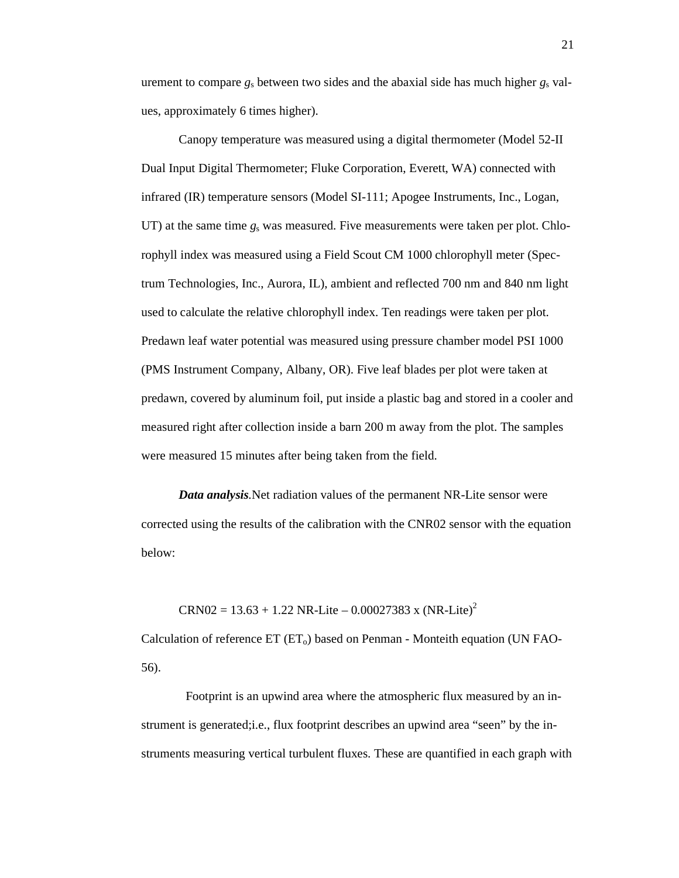urement to compare  $g_s$  between two sides and the abaxial side has much higher  $g_s$  values, approximately 6 times higher).

Canopy temperature was measured using a digital thermometer (Model 52-II Dual Input Digital Thermometer; Fluke Corporation, Everett, WA) connected with infrared (IR) temperature sensors (Model SI-111; Apogee Instruments, Inc., Logan, UT) at the same time  $g_s$  was measured. Five measurements were taken per plot. Chlorophyll index was measured using a Field Scout CM 1000 chlorophyll meter (Spectrum Technologies, Inc., Aurora, IL), ambient and reflected 700 nm and 840 nm light used to calculate the relative chlorophyll index. Ten readings were taken per plot. Predawn leaf water potential was measured using pressure chamber model PSI 1000 (PMS Instrument Company, Albany, OR). Five leaf blades per plot were taken at predawn, covered by aluminum foil, put inside a plastic bag and stored in a cooler and measured right after collection inside a barn 200 m away from the plot. The samples were measured 15 minutes after being taken from the field.

*Data analysis.*Net radiation values of the permanent NR-Lite sensor were corrected using the results of the calibration with the CNR02 sensor with the equation below:

 $CRN02 = 13.63 + 1.22 \text{ NR-Lite} - 0.00027383 \text{ x } (\text{NR-Lite})^2$ 

Calculation of reference  $ET$  ( $ET_0$ ) based on Penman - Monteith equation (UN FAO-56).

 Footprint is an upwind area where the atmospheric flux measured by an instrument is generated;i.e., flux footprint describes an upwind area "seen" by the instruments measuring vertical turbulent fluxes. These are quantified in each graph with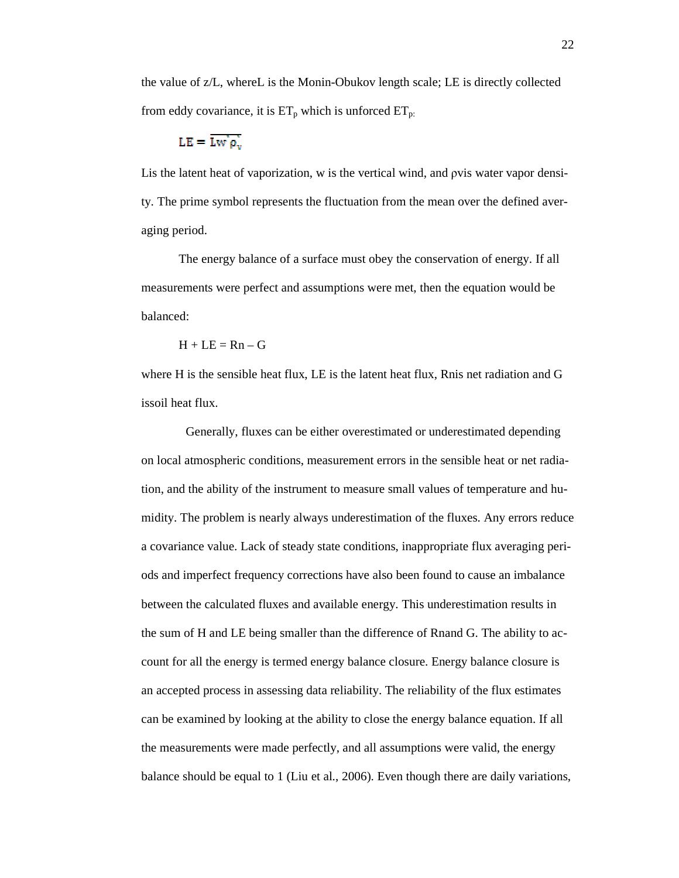the value of z/L, whereL is the Monin-Obukov length scale; LE is directly collected from eddy covariance, it is  $ET_p$  which is unforced  $ET_p$ .

$$
LE = \overline{\text{Lw'}\rho_v}
$$

Lis the latent heat of vaporization, w is the vertical wind, and pvis water vapor density. The prime symbol represents the fluctuation from the mean over the defined averaging period.

The energy balance of a surface must obey the conservation of energy. If all measurements were perfect and assumptions were met, then the equation would be balanced:

$$
H + LE = Rn - G
$$

where H is the sensible heat flux, LE is the latent heat flux, Rnis net radiation and G issoil heat flux.

Generally, fluxes can be either overestimated or underestimated depending on local atmospheric conditions, measurement errors in the sensible heat or net radiation, and the ability of the instrument to measure small values of temperature and humidity. The problem is nearly always underestimation of the fluxes. Any errors reduce a covariance value. Lack of steady state conditions, inappropriate flux averaging periods and imperfect frequency corrections have also been found to cause an imbalance between the calculated fluxes and available energy. This underestimation results in the sum of H and LE being smaller than the difference of Rnand G. The ability to account for all the energy is termed energy balance closure. Energy balance closure is an accepted process in assessing data reliability. The reliability of the flux estimates can be examined by looking at the ability to close the energy balance equation. If all the measurements were made perfectly, and all assumptions were valid, the energy balance should be equal to 1 (Liu et al., 2006). Even though there are daily variations,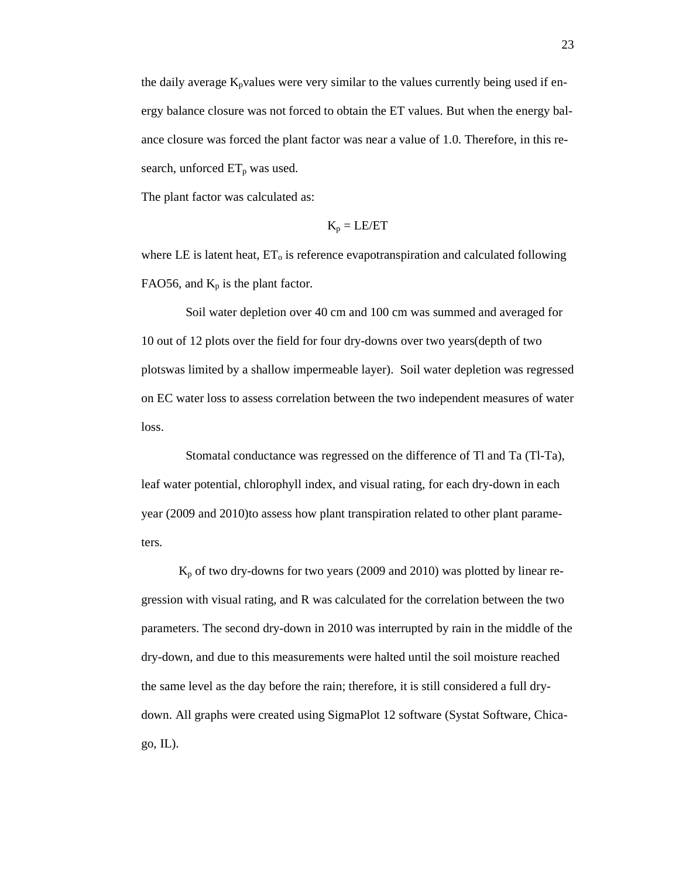the daily average  $K_p$ values were very similar to the values currently being used if energy balance closure was not forced to obtain the ET values. But when the energy balance closure was forced the plant factor was near a value of 1.0. Therefore, in this research, unforced  $ET_p$  was used.

The plant factor was calculated as:

$$
K_p = LE/ET
$$

where LE is latent heat,  $ET_0$  is reference evapotranspiration and calculated following FAO56, and  $K_p$  is the plant factor.

Soil water depletion over 40 cm and 100 cm was summed and averaged for 10 out of 12 plots over the field for four dry-downs over two years(depth of two plotswas limited by a shallow impermeable layer). Soil water depletion was regressed on EC water loss to assess correlation between the two independent measures of water loss.

 Stomatal conductance was regressed on the difference of Tl and Ta (Tl-Ta), leaf water potential, chlorophyll index, and visual rating, for each dry-down in each year (2009 and 2010)to assess how plant transpiration related to other plant parameters.

 $K_p$  of two dry-downs for two years (2009 and 2010) was plotted by linear regression with visual rating, and R was calculated for the correlation between the two parameters. The second dry-down in 2010 was interrupted by rain in the middle of the dry-down, and due to this measurements were halted until the soil moisture reached the same level as the day before the rain; therefore, it is still considered a full drydown. All graphs were created using SigmaPlot 12 software (Systat Software, Chica $go, IL$ ).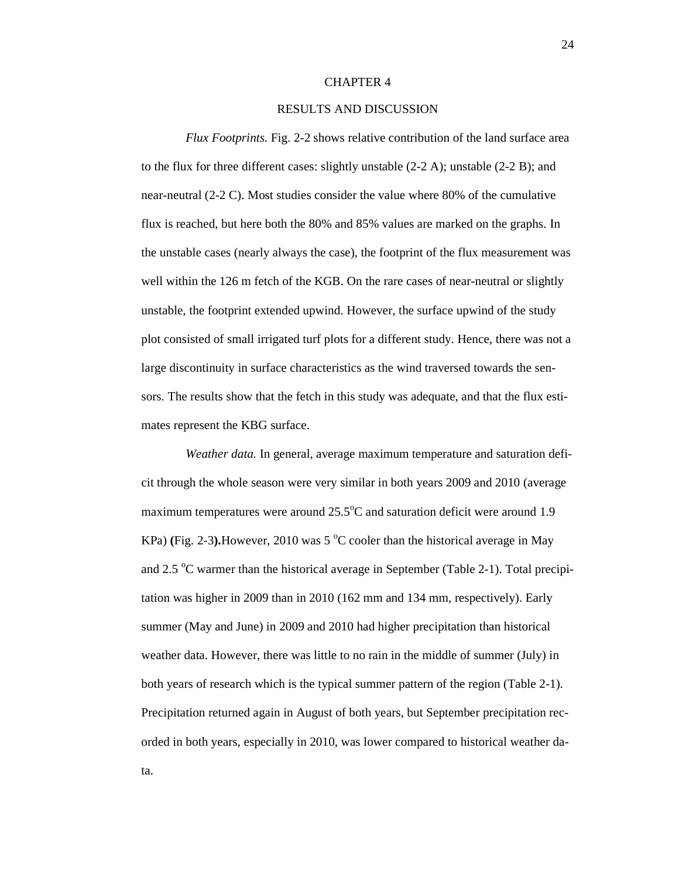#### CHAPTER 4

#### RESULTS AND DISCUSSION

*Flux Footprints.* Fig. 2-2 shows relative contribution of the land surface area to the flux for three different cases: slightly unstable (2-2 A); unstable (2-2 B); and near-neutral (2-2 C). Most studies consider the value where 80% of the cumulative flux is reached, but here both the 80% and 85% values are marked on the graphs. In the unstable cases (nearly always the case), the footprint of the flux measurement was well within the 126 m fetch of the KGB. On the rare cases of near-neutral or slightly unstable, the footprint extended upwind. However, the surface upwind of the study plot consisted of small irrigated turf plots for a different study. Hence, there was not a large discontinuity in surface characteristics as the wind traversed towards the sensors. The results show that the fetch in this study was adequate, and that the flux estimates represent the KBG surface.

*Weather data.* In general, average maximum temperature and saturation deficit through the whole season were very similar in both years 2009 and 2010 (average maximum temperatures were around  $25.5^{\circ}$ C and saturation deficit were around 1.9 KPa) (Fig. 2-3). However, 2010 was  $5^{\circ}$ C cooler than the historical average in May and 2.5  $\mathrm{C}$  warmer than the historical average in September (Table 2-1). Total precipitation was higher in 2009 than in 2010 (162 mm and 134 mm, respectively). Early summer (May and June) in 2009 and 2010 had higher precipitation than historical weather data. However, there was little to no rain in the middle of summer (July) in both years of research which is the typical summer pattern of the region (Table 2-1). Precipitation returned again in August of both years, but September precipitation recorded in both years, especially in 2010, was lower compared to historical weather data.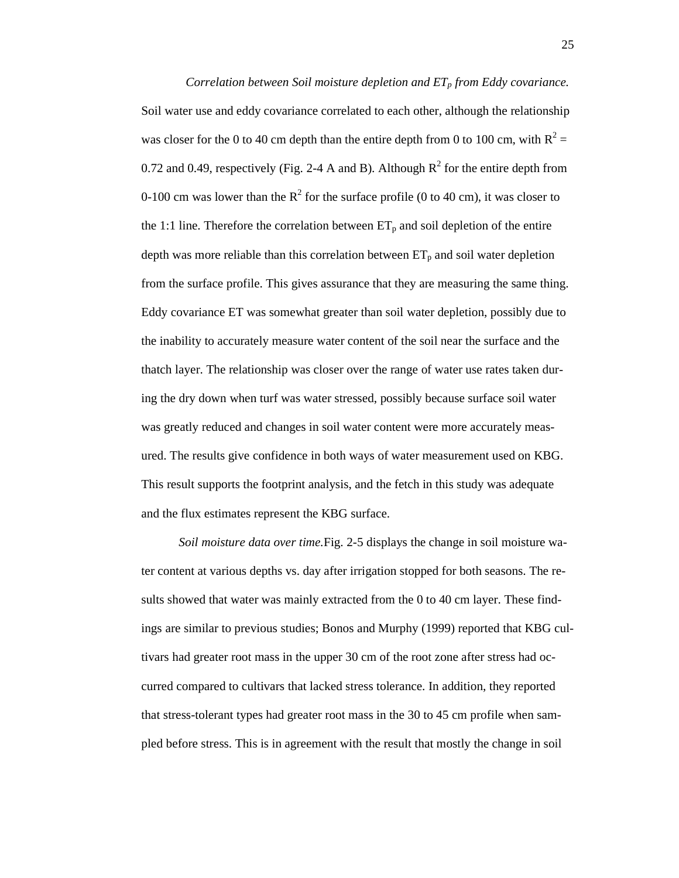*Correlation between Soil moisture depletion and ETp from Eddy covariance.*  Soil water use and eddy covariance correlated to each other, although the relationship was closer for the 0 to 40 cm depth than the entire depth from 0 to 100 cm, with  $R^2 =$ 0.72 and 0.49, respectively (Fig. 2-4 A and B). Although  $R^2$  for the entire depth from 0-100 cm was lower than the  $R^2$  for the surface profile (0 to 40 cm), it was closer to the 1:1 line. Therefore the correlation between  $ET_p$  and soil depletion of the entire depth was more reliable than this correlation between  $ET_p$  and soil water depletion from the surface profile. This gives assurance that they are measuring the same thing. Eddy covariance ET was somewhat greater than soil water depletion, possibly due to the inability to accurately measure water content of the soil near the surface and the thatch layer. The relationship was closer over the range of water use rates taken during the dry down when turf was water stressed, possibly because surface soil water was greatly reduced and changes in soil water content were more accurately measured. The results give confidence in both ways of water measurement used on KBG. This result supports the footprint analysis, and the fetch in this study was adequate and the flux estimates represent the KBG surface.

*Soil moisture data over time.*Fig. 2-5 displays the change in soil moisture water content at various depths vs. day after irrigation stopped for both seasons. The results showed that water was mainly extracted from the 0 to 40 cm layer. These findings are similar to previous studies; Bonos and Murphy (1999) reported that KBG cultivars had greater root mass in the upper 30 cm of the root zone after stress had occurred compared to cultivars that lacked stress tolerance. In addition, they reported that stress-tolerant types had greater root mass in the 30 to 45 cm profile when sampled before stress. This is in agreement with the result that mostly the change in soil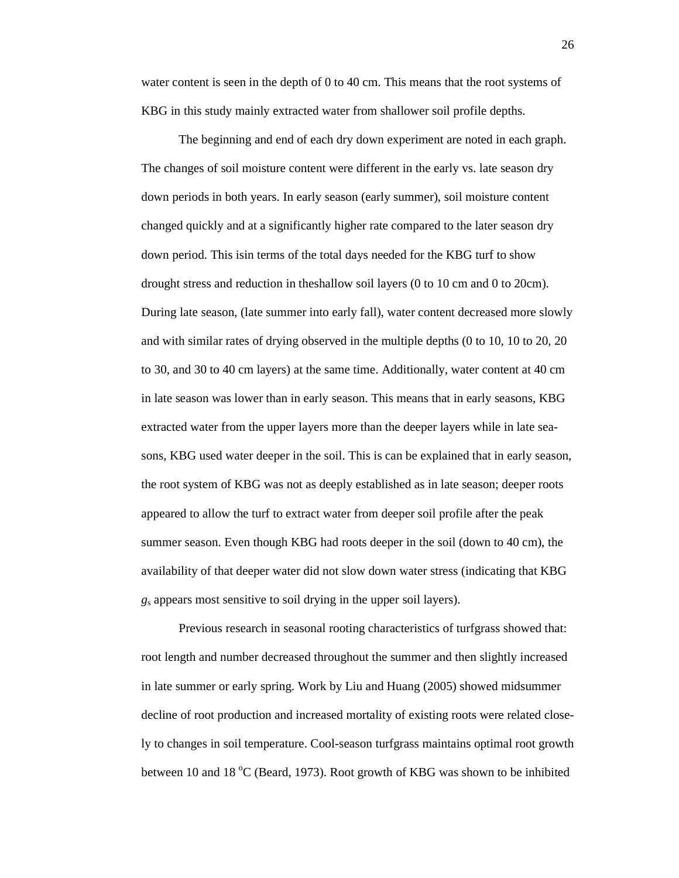water content is seen in the depth of 0 to 40 cm. This means that the root systems of KBG in this study mainly extracted water from shallower soil profile depths.

The beginning and end of each dry down experiment are noted in each graph. The changes of soil moisture content were different in the early vs. late season dry down periods in both years. In early season (early summer), soil moisture content changed quickly and at a significantly higher rate compared to the later season dry down period. This isin terms of the total days needed for the KBG turf to show drought stress and reduction in theshallow soil layers (0 to 10 cm and 0 to 20cm). During late season, (late summer into early fall), water content decreased more slowly and with similar rates of drying observed in the multiple depths (0 to 10, 10 to 20, 20 to 30, and 30 to 40 cm layers) at the same time. Additionally, water content at 40 cm in late season was lower than in early season. This means that in early seasons, KBG extracted water from the upper layers more than the deeper layers while in late seasons, KBG used water deeper in the soil. This is can be explained that in early season, the root system of KBG was not as deeply established as in late season; deeper roots appeared to allow the turf to extract water from deeper soil profile after the peak summer season. Even though KBG had roots deeper in the soil (down to 40 cm), the availability of that deeper water did not slow down water stress (indicating that KBG *g*s appears most sensitive to soil drying in the upper soil layers).

Previous research in seasonal rooting characteristics of turfgrass showed that: root length and number decreased throughout the summer and then slightly increased in late summer or early spring. Work by Liu and Huang (2005) showed midsummer decline of root production and increased mortality of existing roots were related closely to changes in soil temperature. Cool-season turfgrass maintains optimal root growth between 10 and 18  $\degree$ C (Beard, 1973). Root growth of KBG was shown to be inhibited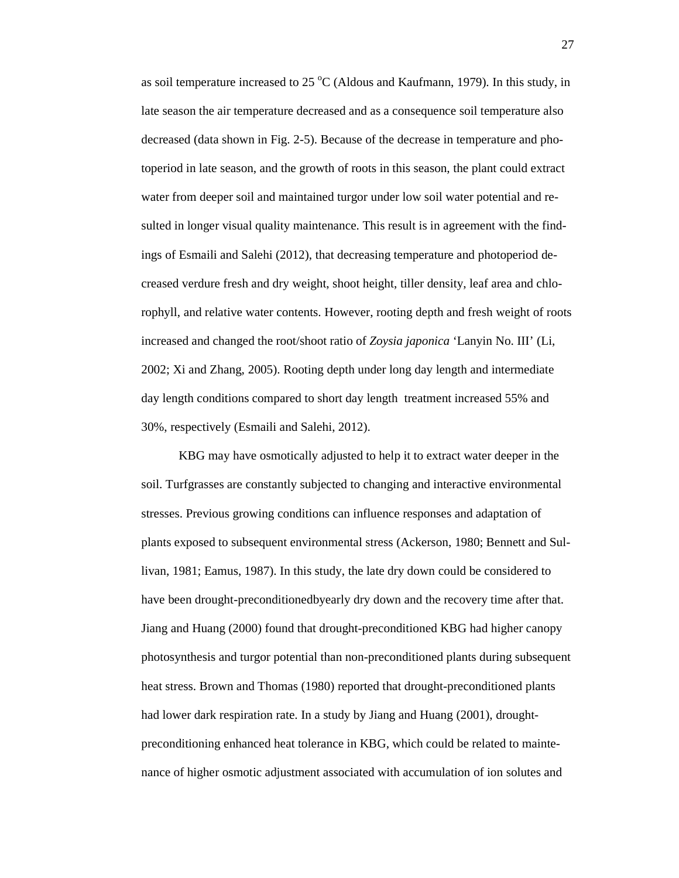as soil temperature increased to 25  $\rm{°C}$  (Aldous and Kaufmann, 1979). In this study, in late season the air temperature decreased and as a consequence soil temperature also decreased (data shown in Fig. 2-5). Because of the decrease in temperature and photoperiod in late season, and the growth of roots in this season, the plant could extract water from deeper soil and maintained turgor under low soil water potential and resulted in longer visual quality maintenance. This result is in agreement with the findings of Esmaili and Salehi (2012), that decreasing temperature and photoperiod decreased verdure fresh and dry weight, shoot height, tiller density, leaf area and chlorophyll, and relative water contents. However, rooting depth and fresh weight of roots increased and changed the root/shoot ratio of *Zoysia japonica* 'Lanyin No. III' (Li, 2002; Xi and Zhang, 2005). Rooting depth under long day length and intermediate day length conditions compared to short day length treatment increased 55% and 30%, respectively (Esmaili and Salehi, 2012).

KBG may have osmotically adjusted to help it to extract water deeper in the soil. Turfgrasses are constantly subjected to changing and interactive environmental stresses. Previous growing conditions can influence responses and adaptation of plants exposed to subsequent environmental stress (Ackerson, 1980; Bennett and Sullivan, 1981; Eamus, 1987). In this study, the late dry down could be considered to have been drought-preconditionedbyearly dry down and the recovery time after that. Jiang and Huang (2000) found that drought-preconditioned KBG had higher canopy photosynthesis and turgor potential than non-preconditioned plants during subsequent heat stress. Brown and Thomas (1980) reported that drought-preconditioned plants had lower dark respiration rate. In a study by Jiang and Huang (2001), droughtpreconditioning enhanced heat tolerance in KBG, which could be related to maintenance of higher osmotic adjustment associated with accumulation of ion solutes and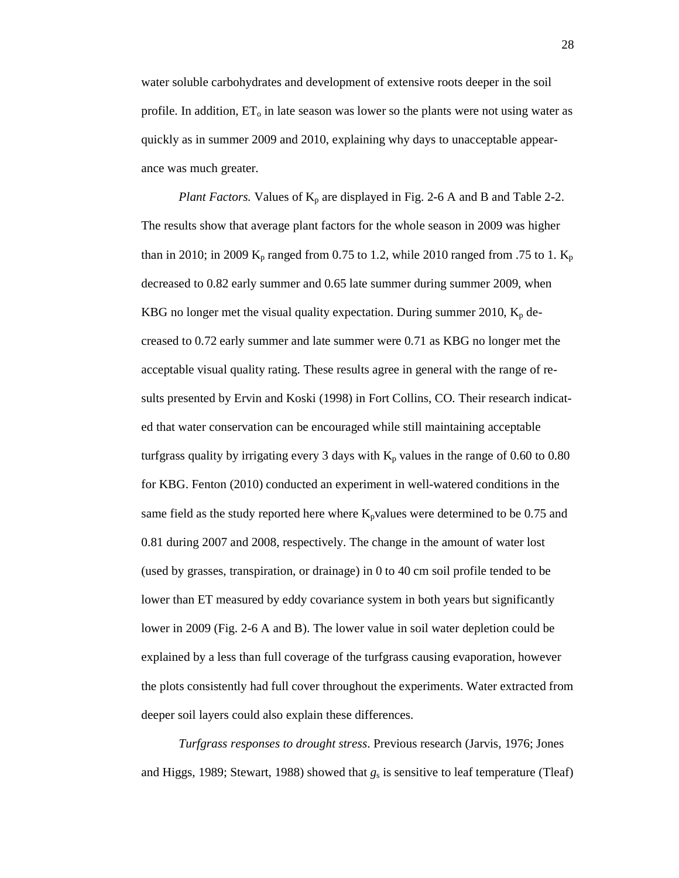water soluble carbohydrates and development of extensive roots deeper in the soil profile. In addition,  $ET_0$  in late season was lower so the plants were not using water as quickly as in summer 2009 and 2010, explaining why days to unacceptable appearance was much greater.

*Plant Factors.* Values of  $K_p$  are displayed in Fig. 2-6 A and B and Table 2-2. The results show that average plant factors for the whole season in 2009 was higher than in 2010; in 2009  $K_p$  ranged from 0.75 to 1.2, while 2010 ranged from .75 to 1.  $K_p$ decreased to 0.82 early summer and 0.65 late summer during summer 2009, when KBG no longer met the visual quality expectation. During summer 2010,  $K_p$  decreased to 0.72 early summer and late summer were 0.71 as KBG no longer met the acceptable visual quality rating. These results agree in general with the range of results presented by Ervin and Koski (1998) in Fort Collins, CO. Their research indicated that water conservation can be encouraged while still maintaining acceptable turfgrass quality by irrigating every 3 days with  $K_p$  values in the range of 0.60 to 0.80 for KBG. Fenton (2010) conducted an experiment in well-watered conditions in the same field as the study reported here where  $K_p$  values were determined to be 0.75 and 0.81 during 2007 and 2008, respectively. The change in the amount of water lost (used by grasses, transpiration, or drainage) in 0 to 40 cm soil profile tended to be lower than ET measured by eddy covariance system in both years but significantly lower in 2009 (Fig. 2-6 A and B). The lower value in soil water depletion could be explained by a less than full coverage of the turfgrass causing evaporation, however the plots consistently had full cover throughout the experiments. Water extracted from deeper soil layers could also explain these differences.

*Turfgrass responses to drought stress*. Previous research (Jarvis, 1976; Jones and Higgs, 1989; Stewart, 1988) showed that  $g_s$  is sensitive to leaf temperature (Tleaf)

28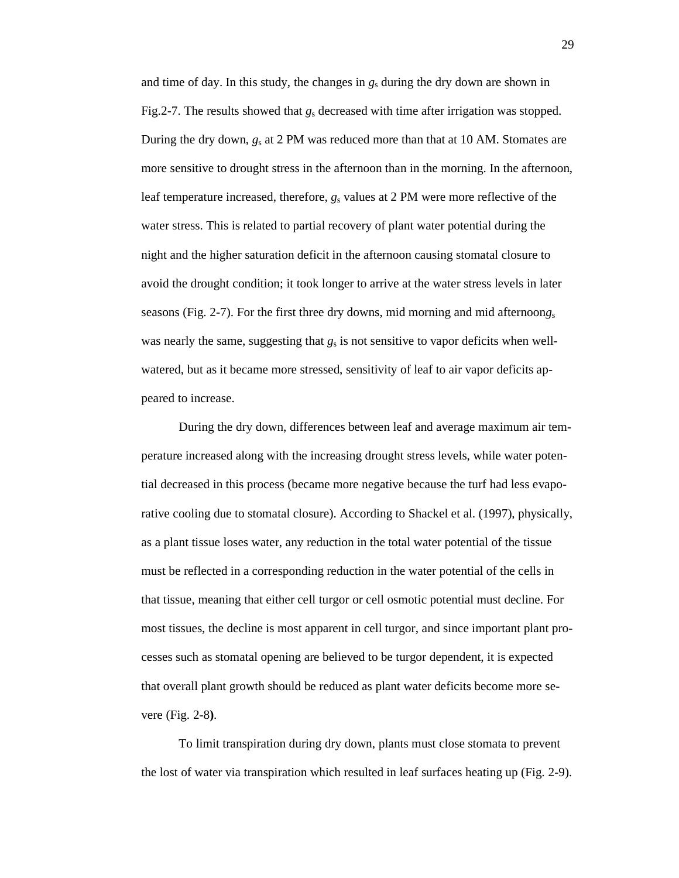and time of day. In this study, the changes in *g*s during the dry down are shown in Fig.2-7. The results showed that *g*s decreased with time after irrigation was stopped. During the dry down, *g*s at 2 PM was reduced more than that at 10 AM. Stomates are more sensitive to drought stress in the afternoon than in the morning. In the afternoon, leaf temperature increased, therefore,  $g_s$  values at 2 PM were more reflective of the water stress. This is related to partial recovery of plant water potential during the night and the higher saturation deficit in the afternoon causing stomatal closure to avoid the drought condition; it took longer to arrive at the water stress levels in later seasons (Fig. 2-7). For the first three dry downs, mid morning and mid afternoon*g*<sup>s</sup> was nearly the same, suggesting that  $g_s$  is not sensitive to vapor deficits when wellwatered, but as it became more stressed, sensitivity of leaf to air vapor deficits appeared to increase.

During the dry down, differences between leaf and average maximum air temperature increased along with the increasing drought stress levels, while water potential decreased in this process (became more negative because the turf had less evaporative cooling due to stomatal closure). According to Shackel et al. (1997), physically, as a plant tissue loses water, any reduction in the total water potential of the tissue must be reflected in a corresponding reduction in the water potential of the cells in that tissue, meaning that either cell turgor or cell osmotic potential must decline. For most tissues, the decline is most apparent in cell turgor, and since important plant processes such as stomatal opening are believed to be turgor dependent, it is expected that overall plant growth should be reduced as plant water deficits become more severe (Fig. 2-8**)**.

To limit transpiration during dry down, plants must close stomata to prevent the lost of water via transpiration which resulted in leaf surfaces heating up (Fig. 2-9).

29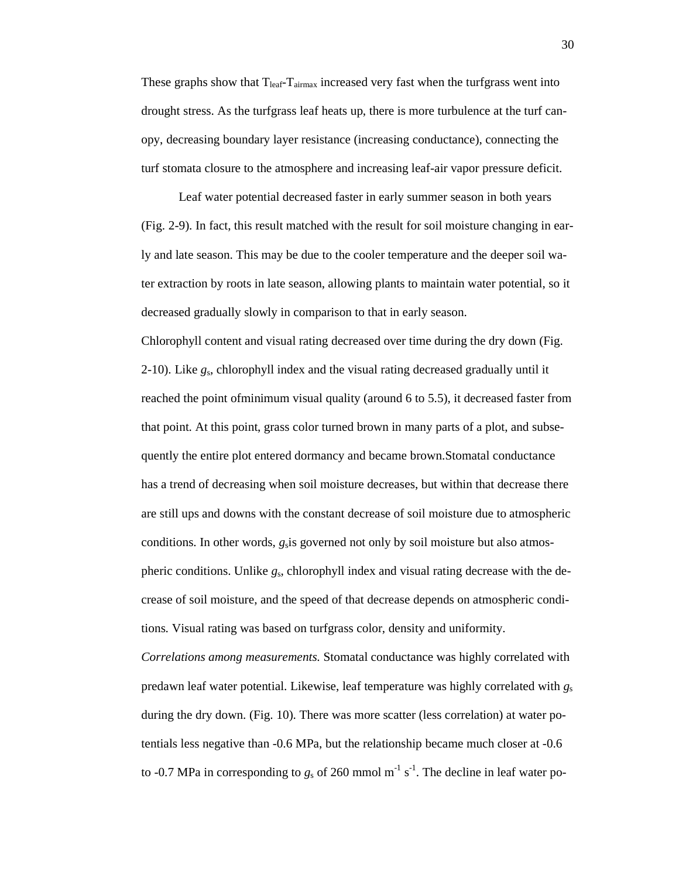These graphs show that  $T_{leaf}$ - $T_{airmax}$  increased very fast when the turfgrass went into drought stress. As the turfgrass leaf heats up, there is more turbulence at the turf canopy, decreasing boundary layer resistance (increasing conductance), connecting the turf stomata closure to the atmosphere and increasing leaf-air vapor pressure deficit.

Leaf water potential decreased faster in early summer season in both years (Fig. 2-9). In fact, this result matched with the result for soil moisture changing in early and late season. This may be due to the cooler temperature and the deeper soil water extraction by roots in late season, allowing plants to maintain water potential, so it decreased gradually slowly in comparison to that in early season.

Chlorophyll content and visual rating decreased over time during the dry down (Fig. 2-10). Like *g*s, chlorophyll index and the visual rating decreased gradually until it reached the point ofminimum visual quality (around 6 to 5.5), it decreased faster from that point. At this point, grass color turned brown in many parts of a plot, and subsequently the entire plot entered dormancy and became brown.Stomatal conductance has a trend of decreasing when soil moisture decreases, but within that decrease there are still ups and downs with the constant decrease of soil moisture due to atmospheric conditions. In other words, *g*sis governed not only by soil moisture but also atmospheric conditions. Unlike *g*s, chlorophyll index and visual rating decrease with the decrease of soil moisture, and the speed of that decrease depends on atmospheric conditions. Visual rating was based on turfgrass color, density and uniformity.

*Correlations among measurements.* Stomatal conductance was highly correlated with predawn leaf water potential. Likewise, leaf temperature was highly correlated with *g*<sup>s</sup> during the dry down. (Fig. 10). There was more scatter (less correlation) at water potentials less negative than -0.6 MPa, but the relationship became much closer at -0.6 to -0.7 MPa in corresponding to  $g_s$  of 260 mmol m<sup>-1</sup> s<sup>-1</sup>. The decline in leaf water po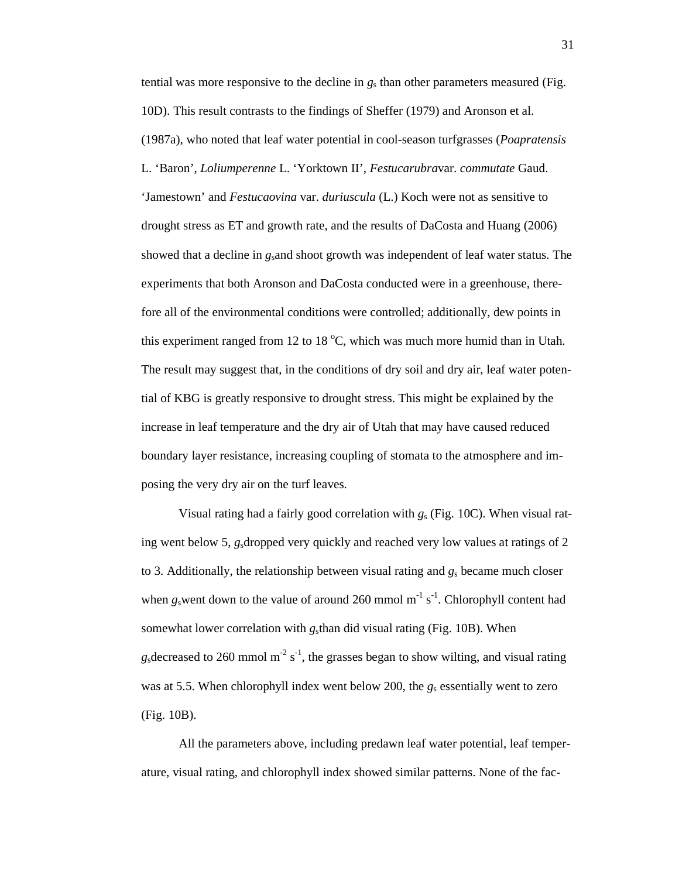tential was more responsive to the decline in *g*s than other parameters measured (Fig. 10D). This result contrasts to the findings of Sheffer (1979) and Aronson et al. (1987a), who noted that leaf water potential in cool-season turfgrasses (*Poapratensis* L. 'Baron', *Loliumperenne* L. 'Yorktown II', *Festucarubra*var. *commutate* Gaud. 'Jamestown' and *Festucaovina* var. *duriuscula* (L.) Koch were not as sensitive to drought stress as ET and growth rate, and the results of DaCosta and Huang (2006) showed that a decline in *g*sand shoot growth was independent of leaf water status. The experiments that both Aronson and DaCosta conducted were in a greenhouse, therefore all of the environmental conditions were controlled; additionally, dew points in this experiment ranged from 12 to 18  $^{\circ}$ C, which was much more humid than in Utah. The result may suggest that, in the conditions of dry soil and dry air, leaf water potential of KBG is greatly responsive to drought stress. This might be explained by the increase in leaf temperature and the dry air of Utah that may have caused reduced boundary layer resistance, increasing coupling of stomata to the atmosphere and imposing the very dry air on the turf leaves.

Visual rating had a fairly good correlation with *g*s (Fig. 10C). When visual rating went below 5, *g*sdropped very quickly and reached very low values at ratings of 2 to 3. Additionally, the relationship between visual rating and *g*s became much closer when  $g_s$  went down to the value of around 260 mmol m<sup>-1</sup> s<sup>-1</sup>. Chlorophyll content had somewhat lower correlation with *g*sthan did visual rating (Fig. 10B). When  $g_s$  decreased to 260 mmol m<sup>-2</sup> s<sup>-1</sup>, the grasses began to show wilting, and visual rating was at 5.5. When chlorophyll index went below 200, the  $g_s$  essentially went to zero (Fig. 10B).

All the parameters above, including predawn leaf water potential, leaf temperature, visual rating, and chlorophyll index showed similar patterns. None of the fac-

31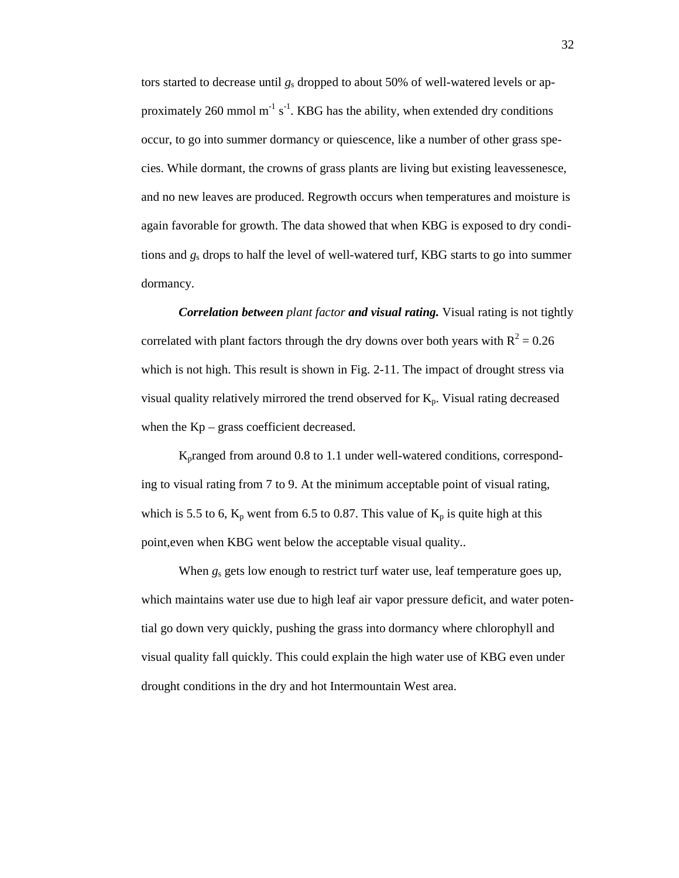tors started to decrease until *g*s dropped to about 50% of well-watered levels or approximately 260 mmol  $m^{-1} s^{-1}$ . KBG has the ability, when extended dry conditions occur, to go into summer dormancy or quiescence, like a number of other grass species. While dormant, the crowns of grass plants are living but existing leavessenesce, and no new leaves are produced. Regrowth occurs when temperatures and moisture is again favorable for growth. The data showed that when KBG is exposed to dry conditions and *g*s drops to half the level of well-watered turf, KBG starts to go into summer dormancy.

*Correlation between plant factor and visual rating.* Visual rating is not tightly correlated with plant factors through the dry downs over both years with  $R^2 = 0.26$ which is not high. This result is shown in Fig. 2-11. The impact of drought stress via visual quality relatively mirrored the trend observed for  $K_p$ . Visual rating decreased when the Kp – grass coefficient decreased.

Kpranged from around 0.8 to 1.1 under well-watered conditions, corresponding to visual rating from 7 to 9. At the minimum acceptable point of visual rating, which is 5.5 to 6,  $K_p$  went from 6.5 to 0.87. This value of  $K_p$  is quite high at this point,even when KBG went below the acceptable visual quality..

When  $g_s$  gets low enough to restrict turf water use, leaf temperature goes up, which maintains water use due to high leaf air vapor pressure deficit, and water potential go down very quickly, pushing the grass into dormancy where chlorophyll and visual quality fall quickly. This could explain the high water use of KBG even under drought conditions in the dry and hot Intermountain West area.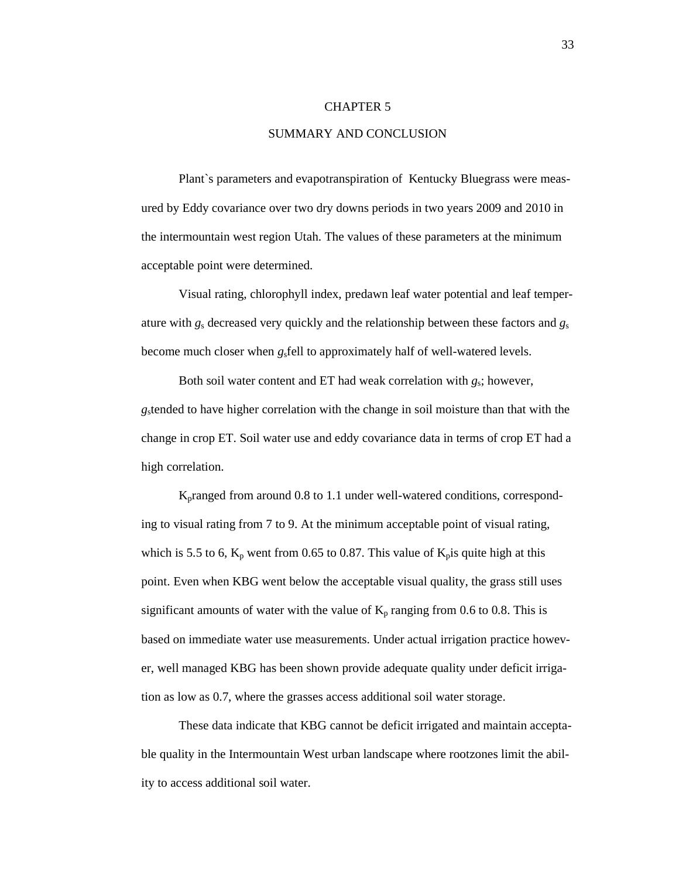#### CHAPTER 5

## SUMMARY AND CONCLUSION

Plant`s parameters and evapotranspiration of Kentucky Bluegrass were measured by Eddy covariance over two dry downs periods in two years 2009 and 2010 in the intermountain west region Utah. The values of these parameters at the minimum acceptable point were determined.

Visual rating, chlorophyll index, predawn leaf water potential and leaf temperature with *g*s decreased very quickly and the relationship between these factors and *g*<sup>s</sup> become much closer when *g*sfell to approximately half of well-watered levels.

Both soil water content and ET had weak correlation with *g*s; however, *g*stended to have higher correlation with the change in soil moisture than that with the change in crop ET. Soil water use and eddy covariance data in terms of crop ET had a high correlation.

Kpranged from around 0.8 to 1.1 under well-watered conditions, corresponding to visual rating from 7 to 9. At the minimum acceptable point of visual rating, which is 5.5 to 6,  $K_p$  went from 0.65 to 0.87. This value of  $K_p$  is quite high at this point. Even when KBG went below the acceptable visual quality, the grass still uses significant amounts of water with the value of  $K_p$  ranging from 0.6 to 0.8. This is based on immediate water use measurements. Under actual irrigation practice however, well managed KBG has been shown provide adequate quality under deficit irrigation as low as 0.7, where the grasses access additional soil water storage.

These data indicate that KBG cannot be deficit irrigated and maintain acceptable quality in the Intermountain West urban landscape where rootzones limit the ability to access additional soil water.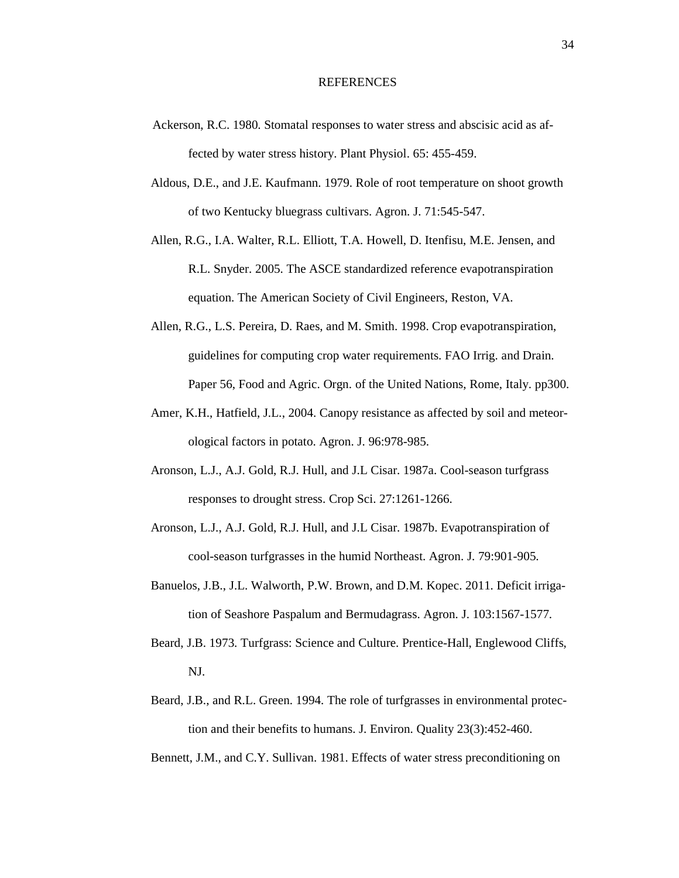#### REFERENCES

- Ackerson, R.C. 1980. Stomatal responses to water stress and abscisic acid as affected by water stress history. Plant Physiol. 65: 455-459.
- Aldous, D.E., and J.E. Kaufmann. 1979. Role of root temperature on shoot growth of two Kentucky bluegrass cultivars. Agron. J. 71:545-547.
- Allen, R.G., I.A. Walter, R.L. Elliott, T.A. Howell, D. Itenfisu, M.E. Jensen, and R.L. Snyder. 2005. The ASCE standardized reference evapotranspiration equation. The American Society of Civil Engineers, Reston, VA.
- Allen, R.G., L.S. Pereira, D. Raes, and M. Smith. 1998. Crop evapotranspiration, guidelines for computing crop water requirements. FAO Irrig. and Drain. Paper 56, Food and Agric. Orgn. of the United Nations, Rome, Italy. pp300.
- Amer, K.H., Hatfield, J.L., 2004. Canopy resistance as affected by soil and meteorological factors in potato. Agron. J. 96:978-985.
- Aronson, L.J., A.J. Gold, R.J. Hull, and J.L Cisar. 1987a. Cool-season turfgrass responses to drought stress. Crop Sci. 27:1261-1266.
- Aronson, L.J., A.J. Gold, R.J. Hull, and J.L Cisar. 1987b. Evapotranspiration of cool-season turfgrasses in the humid Northeast. Agron. J. 79:901-905.
- Banuelos, J.B., J.L. Walworth, P.W. Brown, and D.M. Kopec. 2011. Deficit irrigation of Seashore Paspalum and Bermudagrass. Agron. J. 103:1567-1577.
- Beard, J.B. 1973. Turfgrass: Science and Culture. Prentice-Hall, Englewood Cliffs, NJ.
- Beard, J.B., and R.L. Green. 1994. The role of turfgrasses in environmental protection and their benefits to humans. J. Environ. Quality 23(3):452-460.
- Bennett, J.M., and C.Y. Sullivan. 1981. Effects of water stress preconditioning on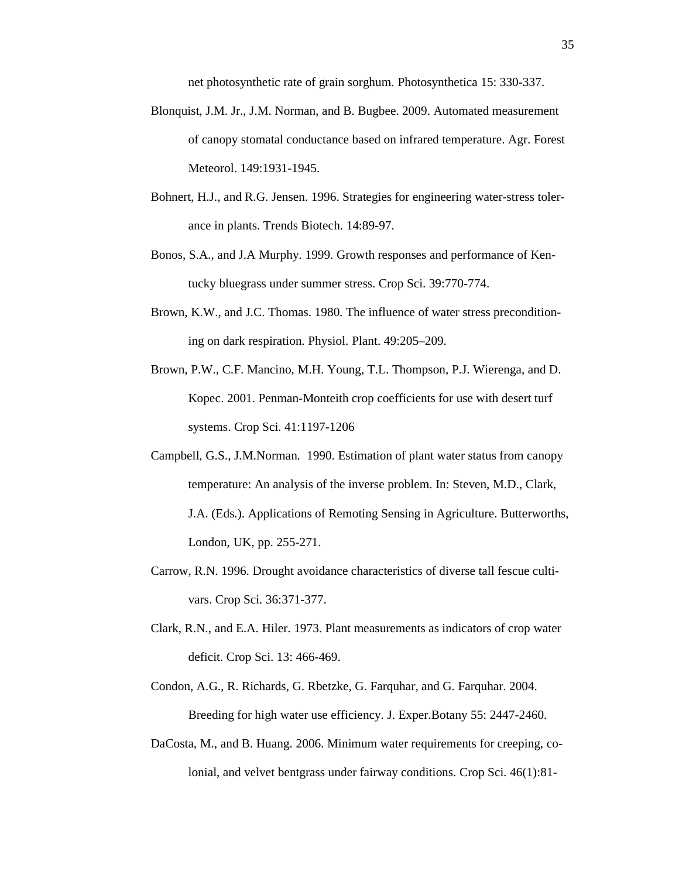net photosynthetic rate of grain sorghum. Photosynthetica 15: 330-337.

- Blonquist, J.M. Jr., J.M. Norman, and B. Bugbee. 2009. Automated measurement of canopy stomatal conductance based on infrared temperature. Agr. Forest Meteorol. 149:1931-1945.
- Bohnert, H.J., and R.G. Jensen. 1996. Strategies for engineering water-stress tolerance in plants. Trends Biotech. 14:89-97.
- Bonos, S.A., and J.A Murphy. 1999. Growth responses and performance of Kentucky bluegrass under summer stress. Crop Sci. 39:770-774.
- Brown, K.W., and J.C. Thomas. 1980. The influence of water stress preconditioning on dark respiration. Physiol. Plant. 49:205–209.
- Brown, P.W., C.F. Mancino, M.H. Young, T.L. Thompson, P.J. Wierenga, and D. Kopec. 2001. Penman-Monteith crop coefficients for use with desert turf systems. Crop Sci. 41:1197-1206
- Campbell, G.S., J.M.Norman. 1990. Estimation of plant water status from canopy temperature: An analysis of the inverse problem. In: Steven, M.D., Clark, J.A. (Eds.). Applications of Remoting Sensing in Agriculture. Butterworths, London, UK, pp. 255-271.
- Carrow, R.N. 1996. Drought avoidance characteristics of diverse tall fescue cultivars. Crop Sci. 36:371-377.
- Clark, R.N., and E.A. Hiler. 1973. Plant measurements as indicators of crop water deficit. Crop Sci. 13: 466-469.
- Condon, A.G., R. Richards, G. Rbetzke, G. Farquhar, and G. Farquhar. 2004. Breeding for high water use efficiency. J. Exper.Botany 55: 2447-2460.
- DaCosta, M., and B. Huang. 2006. Minimum water requirements for creeping, colonial, and velvet bentgrass under fairway conditions. Crop Sci. 46(1):81-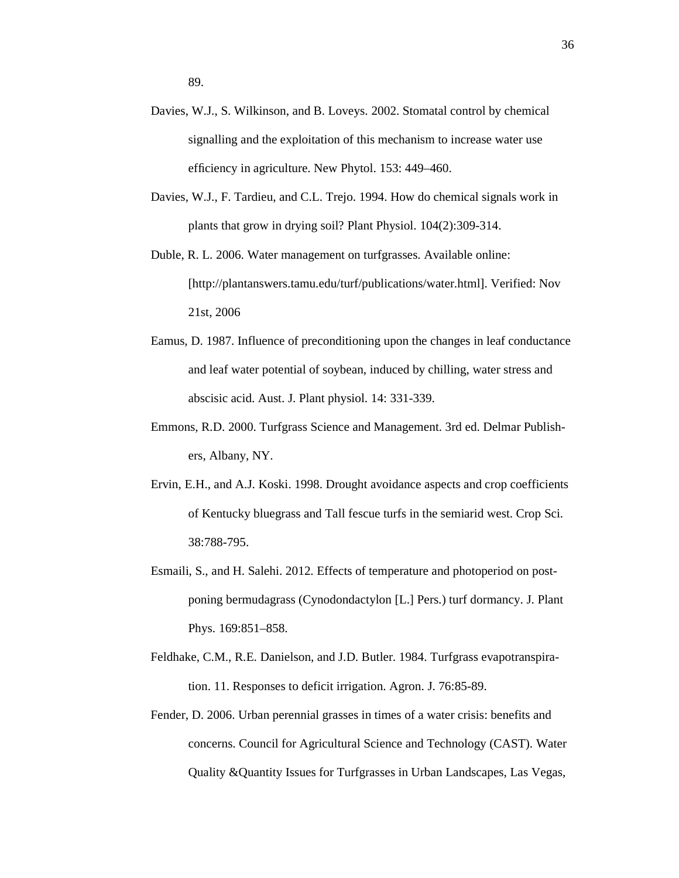- Davies, W.J., S. Wilkinson, and B. Loveys. 2002. Stomatal control by chemical signalling and the exploitation of this mechanism to increase water use efficiency in agriculture. New Phytol. 153: 449–460.
- Davies, W.J., F. Tardieu, and C.L. Trejo. 1994. How do chemical signals work in plants that grow in drying soil? Plant Physiol. 104(2):309-314.
- Duble, R. L. 2006. Water management on turfgrasses. Available online: [http://plantanswers.tamu.edu/turf/publications/water.html]. Verified: Nov 21st, 2006
- Eamus, D. 1987. Influence of preconditioning upon the changes in leaf conductance and leaf water potential of soybean, induced by chilling, water stress and abscisic acid. Aust. J. Plant physiol. 14: 331-339.
- Emmons, R.D. 2000. Turfgrass Science and Management. 3rd ed. Delmar Publishers, Albany, NY.
- Ervin, E.H., and A.J. Koski. 1998. Drought avoidance aspects and crop coefficients of Kentucky bluegrass and Tall fescue turfs in the semiarid west. Crop Sci. 38:788-795.
- Esmaili, S., and H. Salehi. 2012. Effects of temperature and photoperiod on postponing bermudagrass (Cynodondactylon [L.] Pers.) turf dormancy. J. Plant Phys. 169:851–858.
- Feldhake, C.M., R.E. Danielson, and J.D. Butler. 1984. Turfgrass evapotranspiration. 11. Responses to deficit irrigation. Agron. J. 76:85-89.
- Fender, D. 2006. Urban perennial grasses in times of a water crisis: benefits and concerns. Council for Agricultural Science and Technology (CAST). Water Quality &Quantity Issues for Turfgrasses in Urban Landscapes, Las Vegas,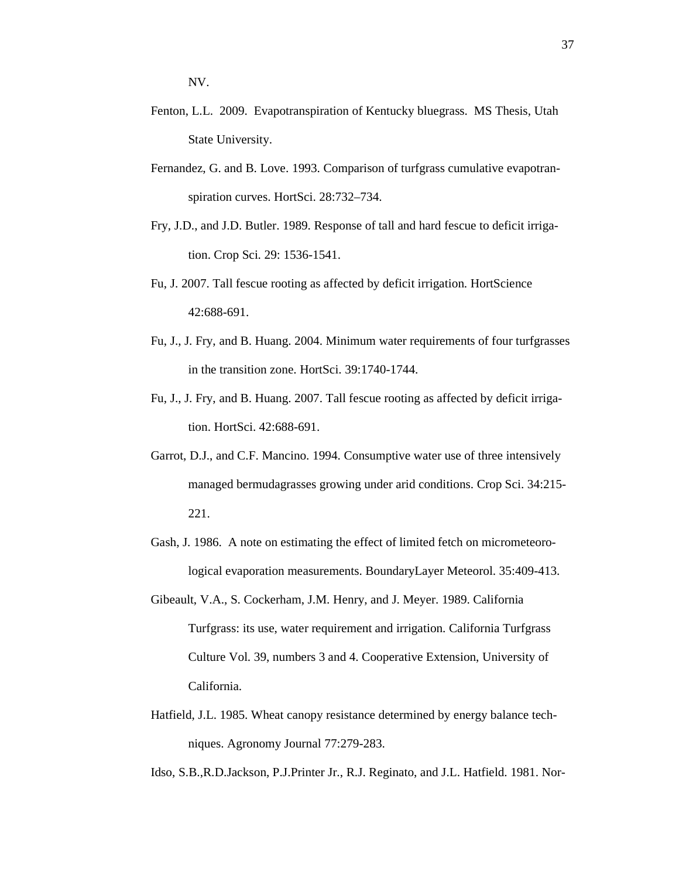NV.

- Fenton, L.L. 2009. Evapotranspiration of Kentucky bluegrass. MS Thesis, Utah State University.
- Fernandez, G. and B. Love. 1993. Comparison of turfgrass cumulative evapotranspiration curves. HortSci. 28:732–734.
- Fry, J.D., and J.D. Butler. 1989. Response of tall and hard fescue to deficit irrigation. Crop Sci. 29: 1536-1541.
- Fu, J. 2007. Tall fescue rooting as affected by deficit irrigation. HortScience 42:688-691.
- Fu, J., J. Fry, and B. Huang. 2004. Minimum water requirements of four turfgrasses in the transition zone. HortSci. 39:1740-1744.
- Fu, J., J. Fry, and B. Huang. 2007. Tall fescue rooting as affected by deficit irrigation. HortSci. 42:688-691.
- Garrot, D.J., and C.F. Mancino. 1994. Consumptive water use of three intensively managed bermudagrasses growing under arid conditions. Crop Sci. 34:215- 221.
- Gash, J. 1986. A note on estimating the effect of limited fetch on micrometeorological evaporation measurements. BoundaryLayer Meteorol. 35:409-413.
- Gibeault, V.A., S. Cockerham, J.M. Henry, and J. Meyer. 1989. California Turfgrass: its use, water requirement and irrigation. California Turfgrass Culture Vol. 39, numbers 3 and 4. Cooperative Extension, University of California.
- Hatfield, J.L. 1985. Wheat canopy resistance determined by energy balance techniques. Agronomy Journal 77:279-283.

Idso, S.B.,R.D.Jackson, P.J.Printer Jr., R.J. Reginato, and J.L. Hatfield. 1981. Nor-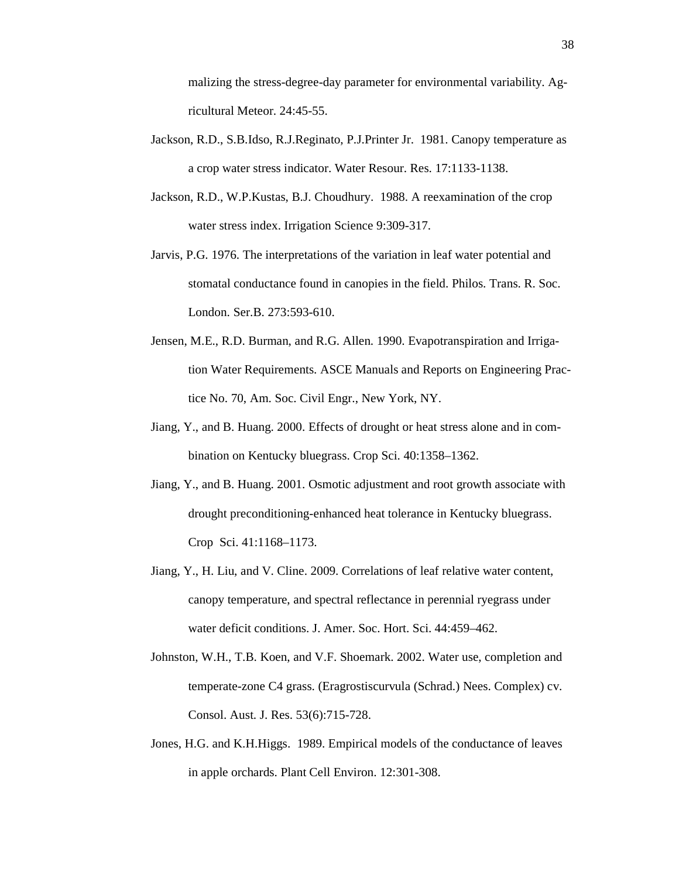malizing the stress-degree-day parameter for environmental variability. Agricultural Meteor. 24:45-55.

- Jackson, R.D., S.B.Idso, R.J.Reginato, P.J.Printer Jr. 1981. Canopy temperature as a crop water stress indicator. Water Resour. Res. 17:1133-1138.
- Jackson, R.D., W.P.Kustas, B.J. Choudhury. 1988. A reexamination of the crop water stress index. Irrigation Science 9:309-317.
- Jarvis, P.G. 1976. The interpretations of the variation in leaf water potential and stomatal conductance found in canopies in the field. Philos. Trans. R. Soc. London. Ser.B. 273:593-610.
- Jensen, M.E., R.D. Burman, and R.G. Allen. 1990. Evapotranspiration and Irrigation Water Requirements. ASCE Manuals and Reports on Engineering Practice No. 70, Am. Soc. Civil Engr., New York, NY.
- Jiang, Y., and B. Huang. 2000. Effects of drought or heat stress alone and in combination on Kentucky bluegrass. Crop Sci. 40:1358–1362.
- Jiang, Y., and B. Huang. 2001. Osmotic adjustment and root growth associate with drought preconditioning-enhanced heat tolerance in Kentucky bluegrass. Crop Sci. 41:1168–1173.
- Jiang, Y., H. Liu, and V. Cline. 2009. Correlations of leaf relative water content, canopy temperature, and spectral reflectance in perennial ryegrass under water deficit conditions. J. Amer. Soc. Hort. Sci. 44:459–462.
- Johnston, W.H., T.B. Koen, and V.F. Shoemark. 2002. Water use, completion and temperate-zone C4 grass. (Eragrostiscurvula (Schrad.) Nees. Complex) cv. Consol. Aust. J. Res. 53(6):715-728.
- Jones, H.G. and K.H.Higgs. 1989. Empirical models of the conductance of leaves in apple orchards. Plant Cell Environ. 12:301-308.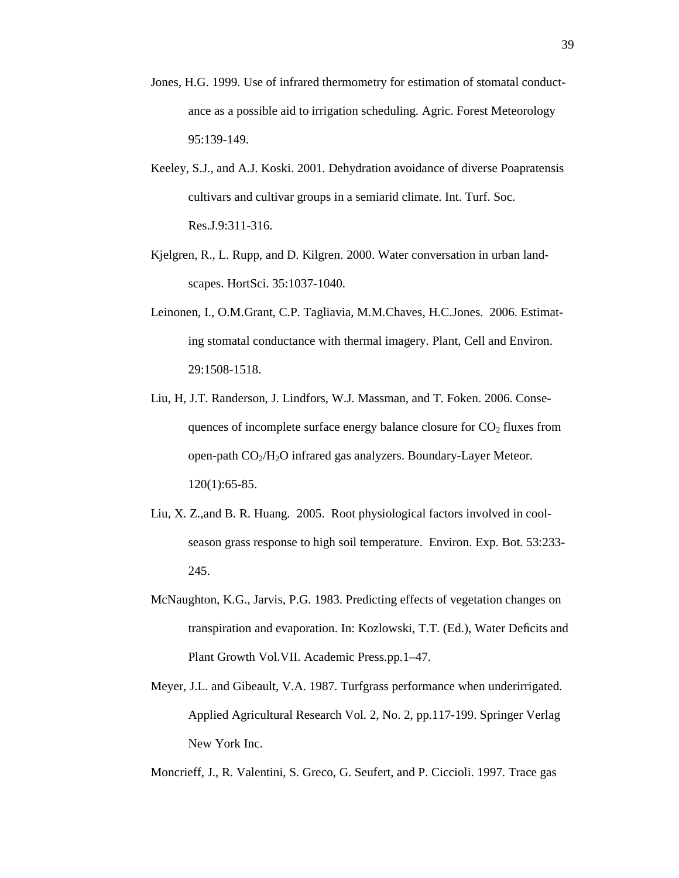- Jones, H.G. 1999. Use of infrared thermometry for estimation of stomatal conductance as a possible aid to irrigation scheduling. Agric. Forest Meteorology 95:139-149.
- Keeley, S.J., and A.J. Koski. 2001. Dehydration avoidance of diverse Poapratensis cultivars and cultivar groups in a semiarid climate. Int. Turf. Soc. Res.J.9:311-316.
- Kjelgren, R., L. Rupp, and D. Kilgren. 2000. Water conversation in urban landscapes. HortSci. 35:1037-1040.
- Leinonen, I., O.M.Grant, C.P. Tagliavia, M.M.Chaves, H.C.Jones. 2006. Estimating stomatal conductance with thermal imagery. Plant, Cell and Environ. 29:1508-1518.
- Liu, H, J.T. Randerson, J. Lindfors, W.J. Massman, and T. Foken. 2006. Consequences of incomplete surface energy balance closure for  $CO<sub>2</sub>$  fluxes from open-path  $CO<sub>2</sub>/H<sub>2</sub>O$  infrared gas analyzers. Boundary-Layer Meteor. 120(1):65-85.
- Liu, X. Z.,and B. R. Huang. 2005. Root physiological factors involved in coolseason grass response to high soil temperature. Environ. Exp. Bot. 53:233- 245.
- McNaughton, K.G., Jarvis, P.G. 1983. Predicting effects of vegetation changes on transpiration and evaporation. In: Kozlowski, T.T. (Ed.), Water Deficits and Plant Growth Vol.VII. Academic Press.pp.1–47.
- Meyer, J.L. and Gibeault, V.A. 1987. Turfgrass performance when underirrigated. Applied Agricultural Research Vol. 2, No. 2, pp.117-199. Springer Verlag New York Inc.
- Moncrieff, J., R. Valentini, S. Greco, G. Seufert, and P. Ciccioli. 1997. Trace gas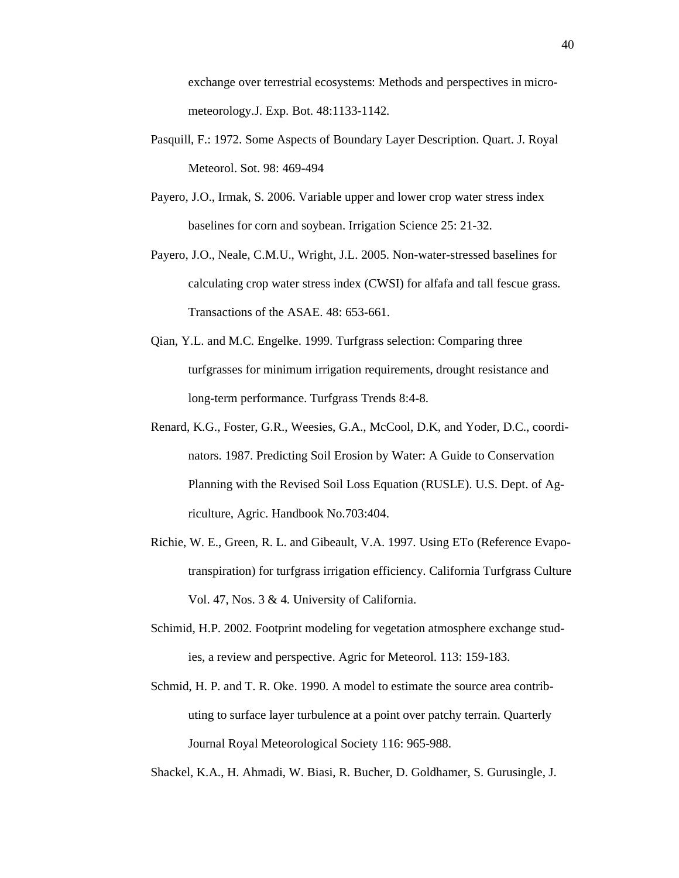exchange over terrestrial ecosystems: Methods and perspectives in micrometeorology.J. Exp. Bot. 48:1133-1142.

- Pasquill, F.: 1972. Some Aspects of Boundary Layer Description. Quart. J. Royal Meteorol. Sot. 98: 469-494
- Payero, J.O., Irmak, S. 2006. Variable upper and lower crop water stress index baselines for corn and soybean. Irrigation Science 25: 21-32.
- Payero, J.O., Neale, C.M.U., Wright, J.L. 2005. Non-water-stressed baselines for calculating crop water stress index (CWSI) for alfafa and tall fescue grass. Transactions of the ASAE. 48: 653-661.
- Qian, Y.L. and M.C. Engelke. 1999. Turfgrass selection: Comparing three turfgrasses for minimum irrigation requirements, drought resistance and long-term performance. Turfgrass Trends 8:4-8.
- Renard, K.G., Foster, G.R., Weesies, G.A., McCool, D.K, and Yoder, D.C., coordinators. 1987. Predicting Soil Erosion by Water: A Guide to Conservation Planning with the Revised Soil Loss Equation (RUSLE). U.S. Dept. of Agriculture, Agric. Handbook No.703:404.
- Richie, W. E., Green, R. L. and Gibeault, V.A. 1997. Using ETo (Reference Evapotranspiration) for turfgrass irrigation efficiency. California Turfgrass Culture Vol. 47, Nos. 3 & 4. University of California.
- Schimid, H.P. 2002. Footprint modeling for vegetation atmosphere exchange studies, a review and perspective. Agric for Meteorol. 113: 159-183.
- Schmid, H. P. and T. R. Oke. 1990. A model to estimate the source area contributing to surface layer turbulence at a point over patchy terrain. Quarterly Journal Royal Meteorological Society 116: 965-988.

Shackel, K.A., H. Ahmadi, W. Biasi, R. Bucher, D. Goldhamer, S. Gurusingle, J.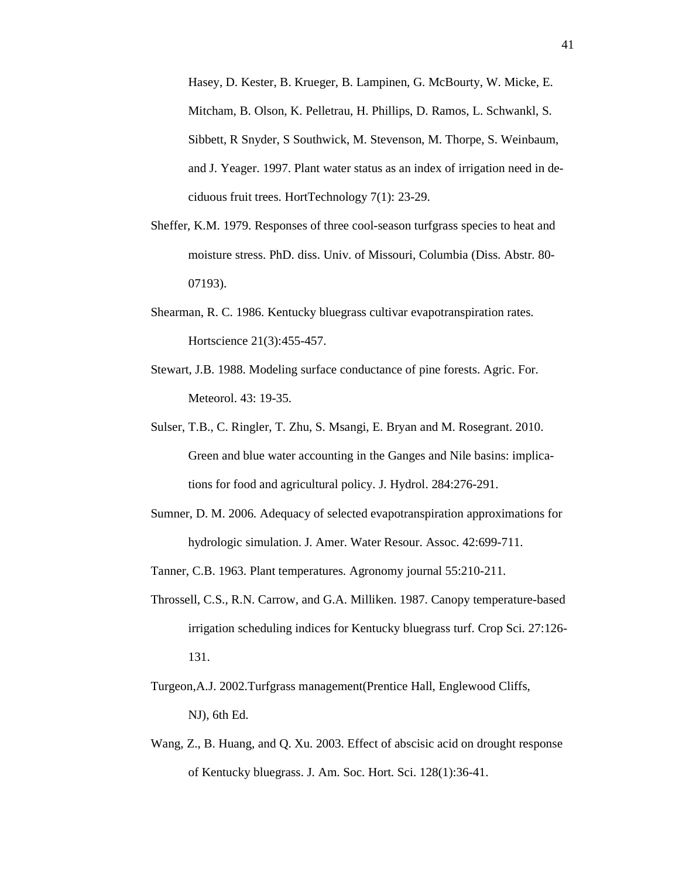Hasey, D. Kester, B. Krueger, B. Lampinen, G. McBourty, W. Micke, E. Mitcham, B. Olson, K. Pelletrau, H. Phillips, D. Ramos, L. Schwankl, S. Sibbett, R Snyder, S Southwick, M. Stevenson, M. Thorpe, S. Weinbaum, and J. Yeager. 1997. Plant water status as an index of irrigation need in deciduous fruit trees. HortTechnology 7(1): 23-29.

- Sheffer, K.M. 1979. Responses of three cool-season turfgrass species to heat and moisture stress. PhD. diss. Univ. of Missouri, Columbia (Diss. Abstr. 80- 07193).
- Shearman, R. C. 1986. Kentucky bluegrass cultivar evapotranspiration rates. Hortscience 21(3):455-457.
- Stewart, J.B. 1988. Modeling surface conductance of pine forests. Agric. For. Meteorol. 43: 19-35.
- Sulser, T.B., C. Ringler, T. Zhu, S. Msangi, E. Bryan and M. Rosegrant. 2010. Green and blue water accounting in the Ganges and Nile basins: implications for food and agricultural policy. J. Hydrol. 284:276-291.
- Sumner, D. M. 2006. Adequacy of selected evapotranspiration approximations for hydrologic simulation. J. Amer. Water Resour. Assoc. 42:699-711.

Tanner, C.B. 1963. Plant temperatures. Agronomy journal 55:210-211.

- Throssell, C.S., R.N. Carrow, and G.A. Milliken. 1987. Canopy temperature-based irrigation scheduling indices for Kentucky bluegrass turf. Crop Sci. 27:126- 131.
- Turgeon,A.J. 2002.Turfgrass management(Prentice Hall, Englewood Cliffs, NJ), 6th Ed.
- Wang, Z., B. Huang, and Q. Xu. 2003. Effect of abscisic acid on drought response of Kentucky bluegrass. J. Am. Soc. Hort. Sci. 128(1):36-41.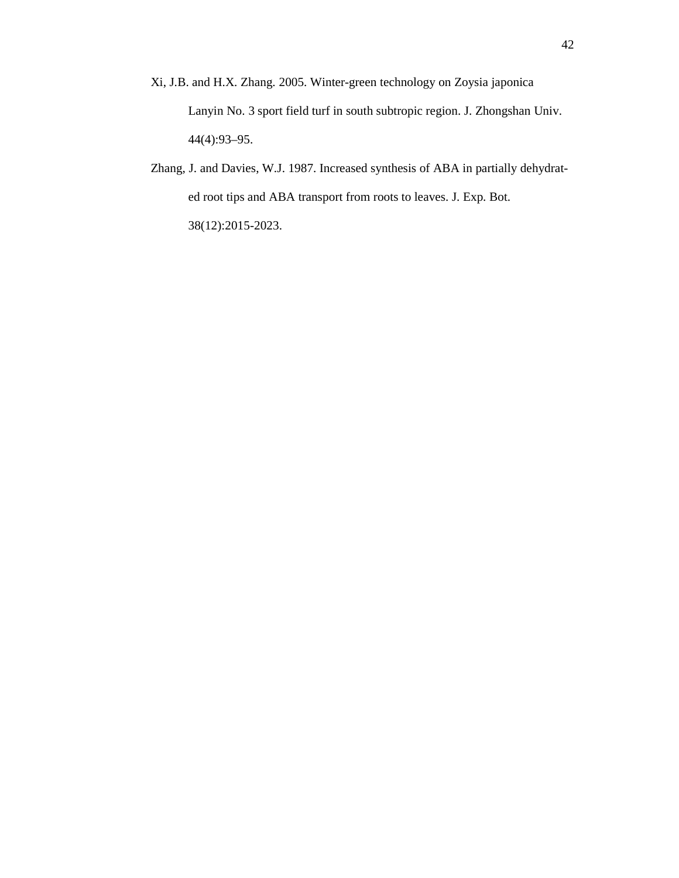- Xi, J.B. and H.X. Zhang. 2005. Winter-green technology on Zoysia japonica Lanyin No. 3 sport field turf in south subtropic region. J. Zhongshan Univ. 44(4):93–95.
- Zhang, J. and Davies, W.J. 1987. Increased synthesis of ABA in partially dehydrated root tips and ABA transport from roots to leaves. J. Exp. Bot. 38(12):2015-2023.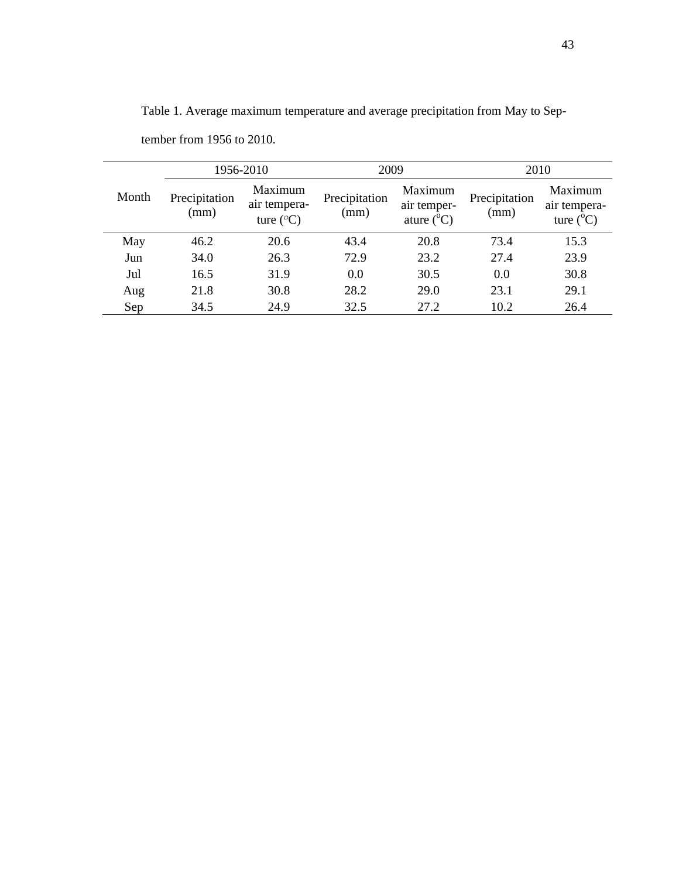| 1956-2010 |                       |                                               | 2009                  |                                               | 2010                  |                                               |
|-----------|-----------------------|-----------------------------------------------|-----------------------|-----------------------------------------------|-----------------------|-----------------------------------------------|
| Month     | Precipitation<br>(mm) | Maximum<br>air tempera-<br>ture $(^{\circ}C)$ | Precipitation<br>(mm) | Maximum<br>air temper-<br>ature $(^{\circ}C)$ | Precipitation<br>(mm) | Maximum<br>air tempera-<br>ture $(^{\circ}C)$ |
| May       | 46.2                  | 20.6                                          | 43.4                  | 20.8                                          | 73.4                  | 15.3                                          |
| Jun       | 34.0                  | 26.3                                          | 72.9                  | 23.2                                          | 27.4                  | 23.9                                          |
| Jul       | 16.5                  | 31.9                                          | 0.0                   | 30.5                                          | 0.0                   | 30.8                                          |
| Aug       | 21.8                  | 30.8                                          | 28.2                  | 29.0                                          | 23.1                  | 29.1                                          |
| Sep       | 34.5                  | 24.9                                          | 32.5                  | 27.2                                          | 10.2                  | 26.4                                          |

Table 1. Average maximum temperature and average precipitation from May to Sep-

tember from 1956 to 2010.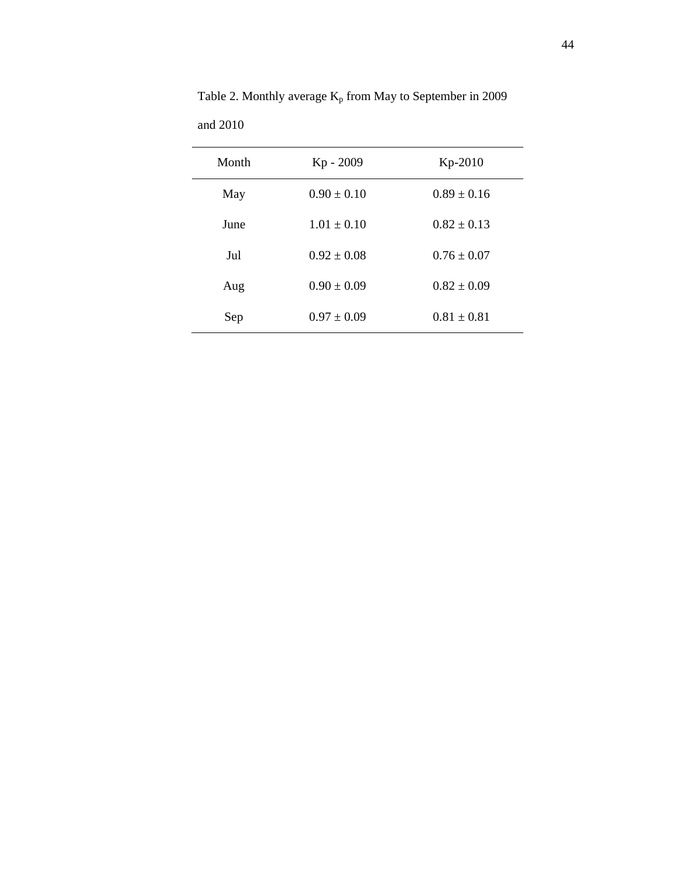| Month | Kp - 2009       | $Kp-2010$       |
|-------|-----------------|-----------------|
| May   | $0.90 \pm 0.10$ | $0.89 \pm 0.16$ |
| June  | $1.01 \pm 0.10$ | $0.82 + 0.13$   |
| Jul   | $0.92 \pm 0.08$ | $0.76 \pm 0.07$ |
| Aug   | $0.90 \pm 0.09$ | $0.82 \pm 0.09$ |
| Sep   | $0.97 \pm 0.09$ | $0.81 \pm 0.81$ |

Table 2. Monthly average  $K_p$  from May to September in 2009 and 2010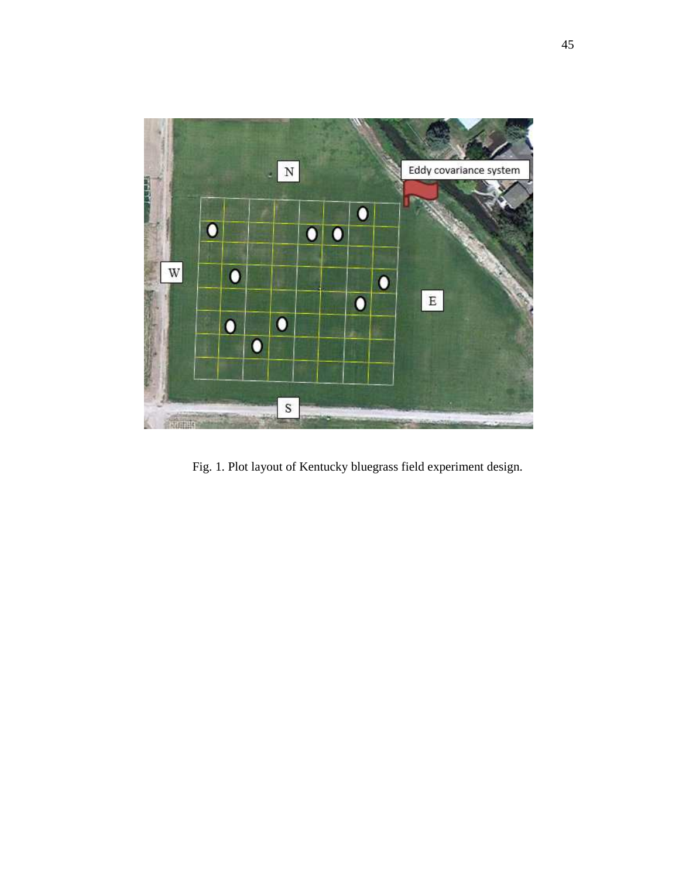

Fig. 1. Plot layout of Kentucky bluegrass field experiment design.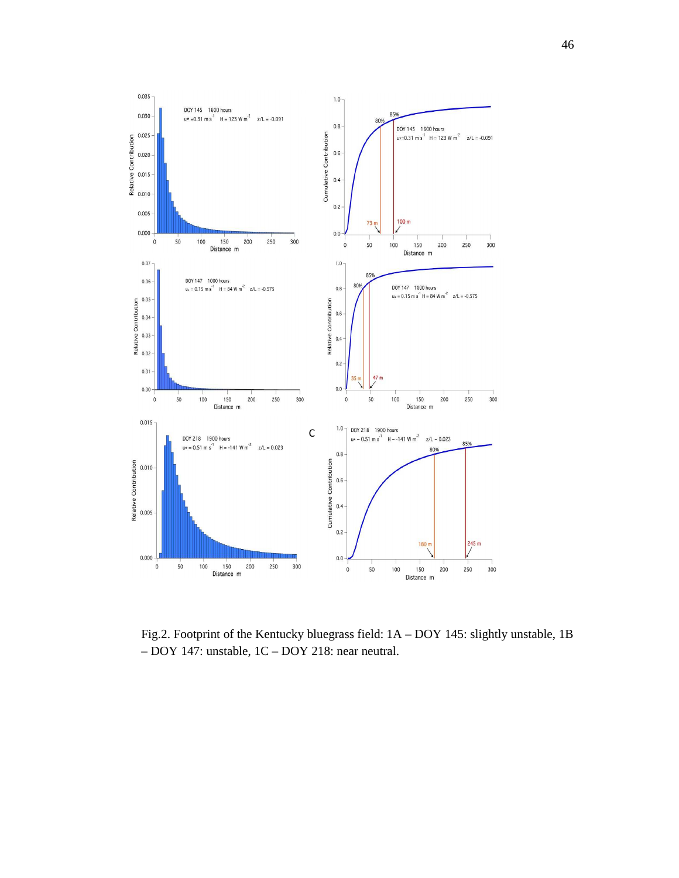

Fig.2. Footprint of the Kentucky bluegrass field: 1A – DOY 145: slightly unstable, 1B – DOY 147: unstable, 1C – DOY 218: near neutral.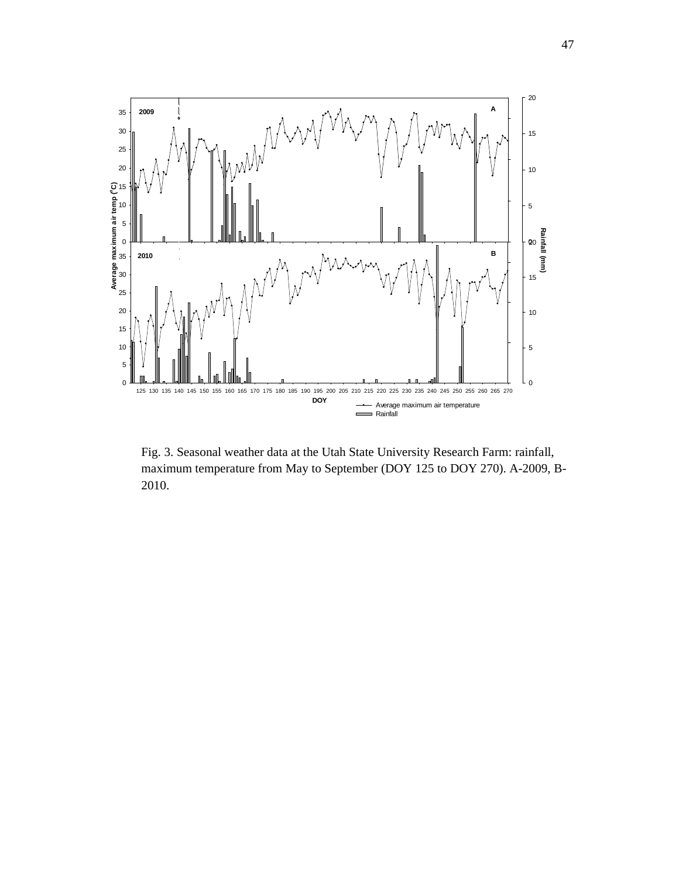

Fig. 3. Seasonal weather data at the Utah State University Research Farm: rainfall, maximum temperature from May to September (DOY 125 to DOY 270). A-2009, B-2010.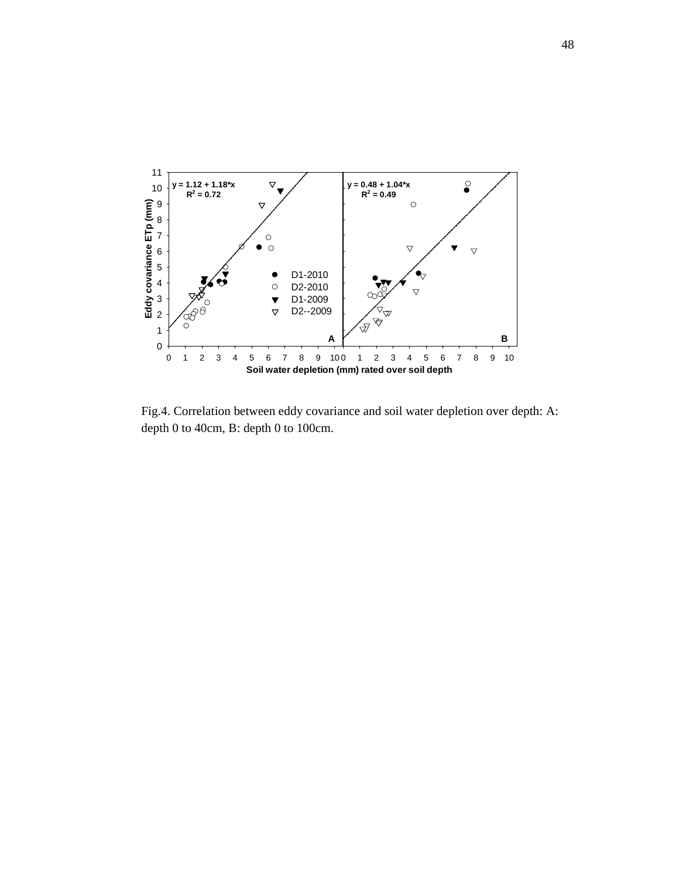

Fig.4. Correlation between eddy covariance and soil water depletion over depth: A: depth 0 to 40cm, B: depth 0 to 100cm.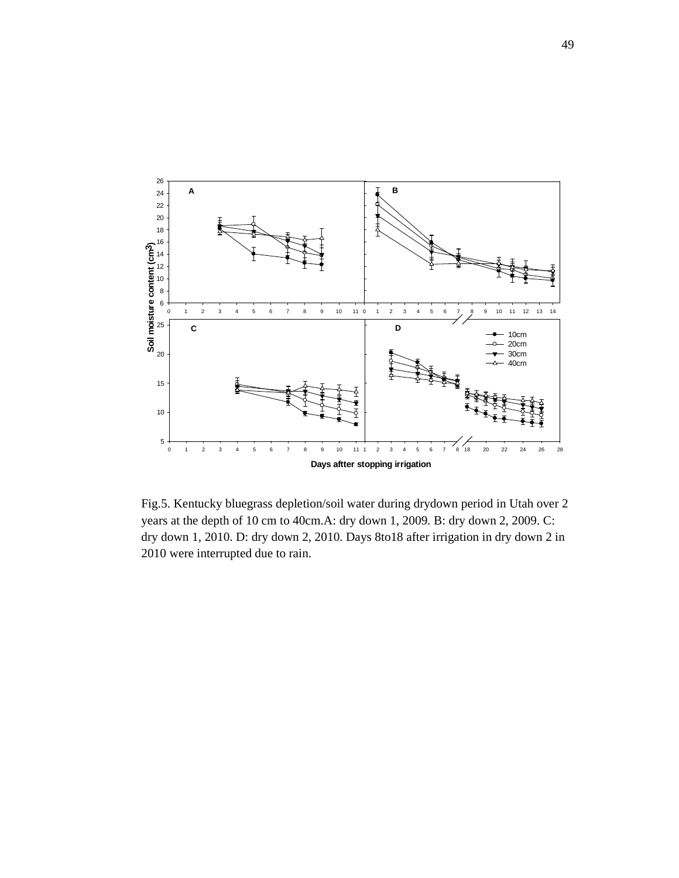

Fig.5. Kentucky bluegrass depletion/soil water during drydown period in Utah over 2 years at the depth of 10 cm to 40cm.A: dry down 1, 2009. B: dry down 2, 2009. C: dry down 1, 2010. D: dry down 2, 2010. Days 8to18 after irrigation in dry down 2 in 2010 were interrupted due to rain.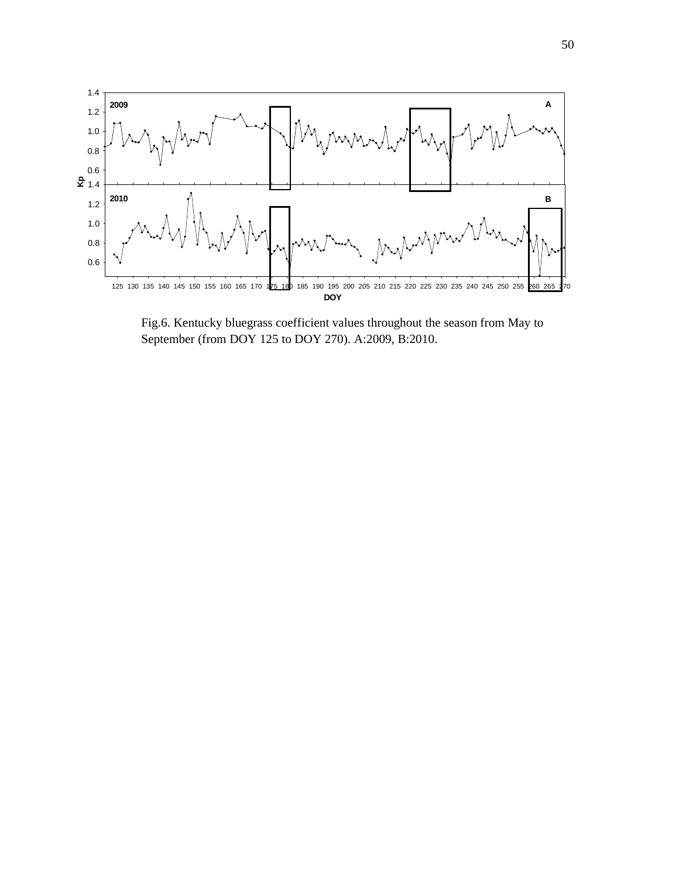

Fig.6. Kentucky bluegrass coefficient values throughout the season from May to September (from DOY 125 to DOY 270). A:2009, B:2010.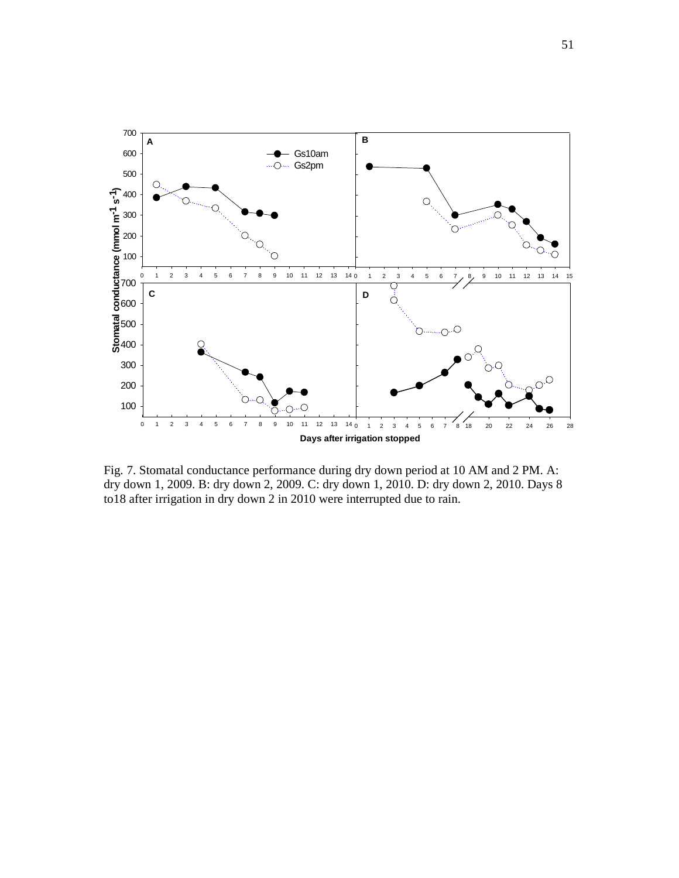

Fig. 7. Stomatal conductance performance during dry down period at 10 AM and 2 PM. A: dry down 1, 2009. B: dry down 2, 2009. C: dry down 1, 2010. D: dry down 2, 2010. Days 8 to18 after irrigation in dry down 2 in 2010 were interrupted due to rain.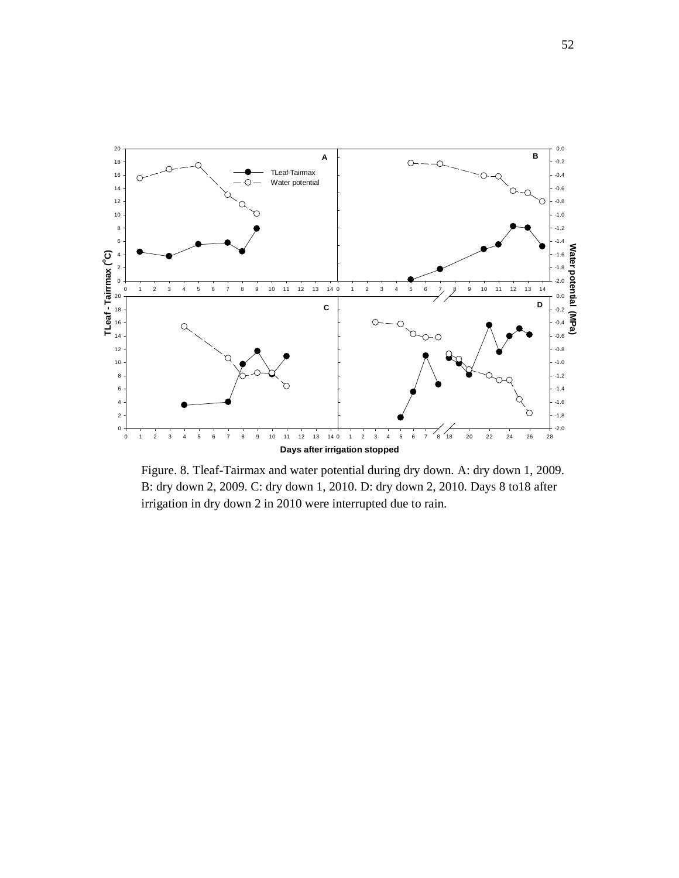

Figure. 8. Tleaf-Tairmax and water potential during dry down. A: dry down 1, 2009. B: dry down 2, 2009. C: dry down 1, 2010. D: dry down 2, 2010. Days 8 to18 after irrigation in dry down 2 in 2010 were interrupted due to rain.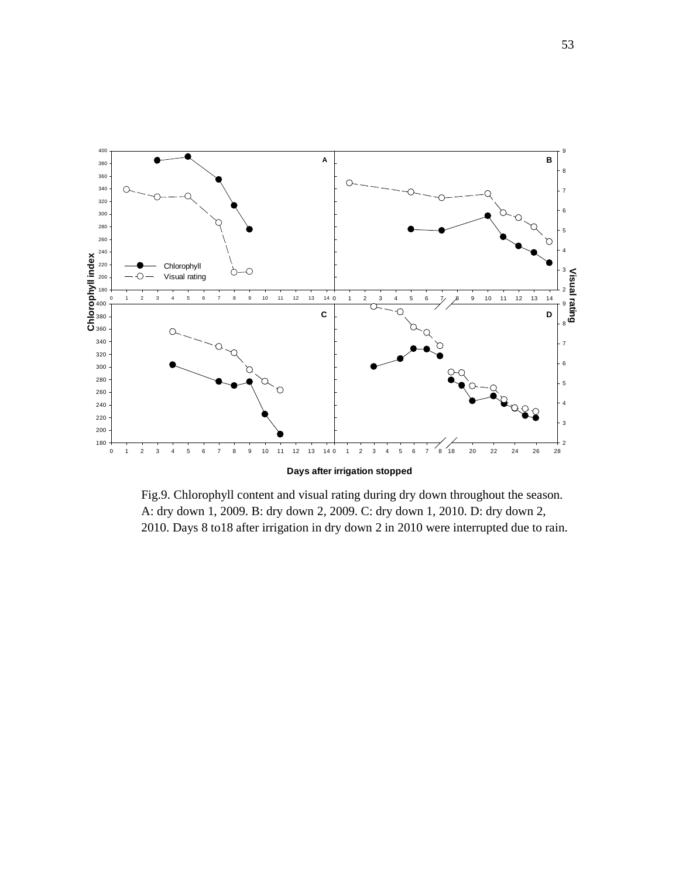

Fig.9. Chlorophyll content and visual rating during dry down throughout the season. A: dry down 1, 2009. B: dry down 2, 2009. C: dry down 1, 2010. D: dry down 2, 2010. Days 8 to18 after irrigation in dry down 2 in 2010 were interrupted due to rain.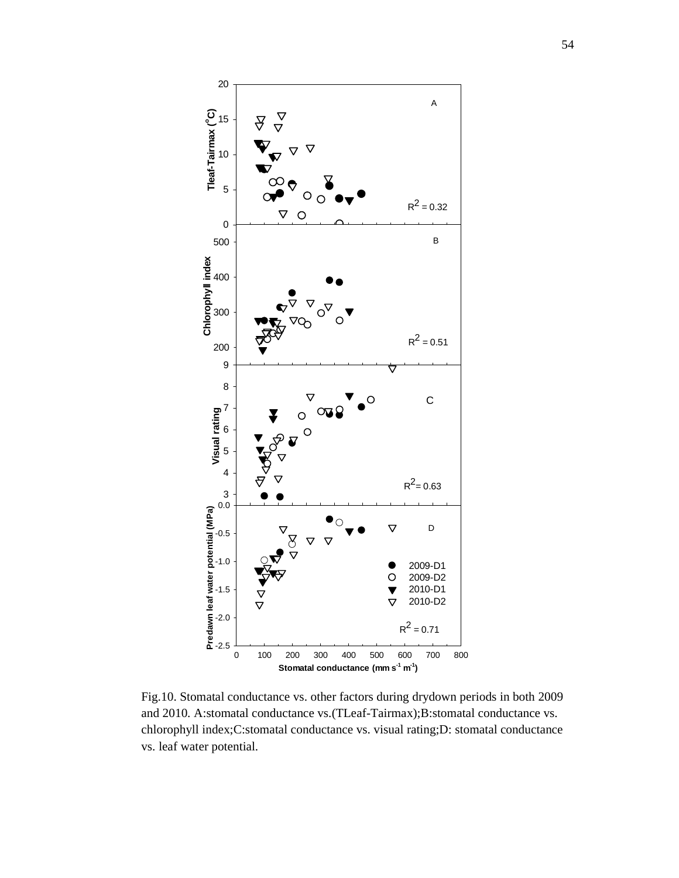

Fig.10. Stomatal conductance vs. other factors during drydown periods in both 2009 and 2010. A:stomatal conductance vs.(TLeaf-Tairmax);B:stomatal conductance vs. chlorophyll index;C:stomatal conductance vs. visual rating;D: stomatal conductance vs. leaf water potential.